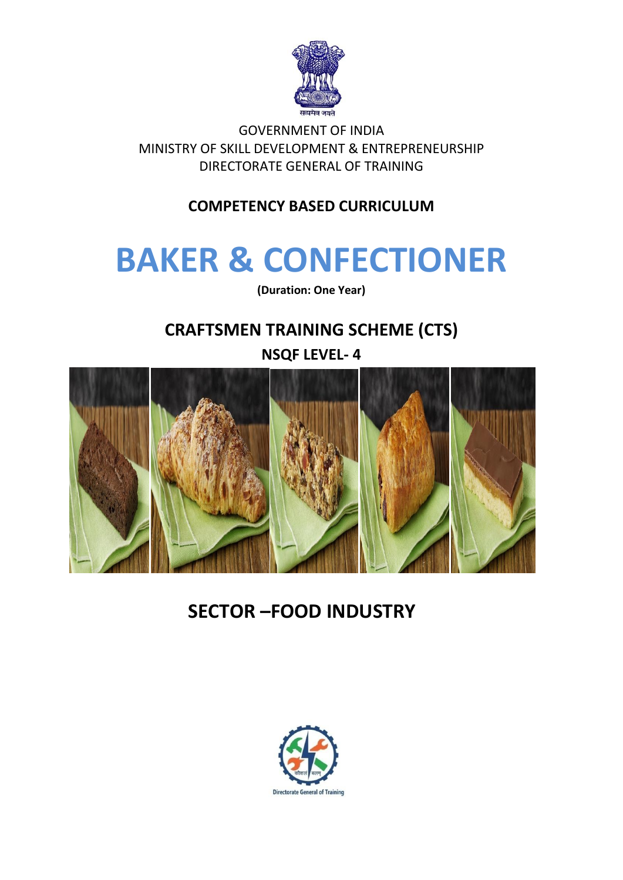

GOVERNMENT OF INDIA MINISTRY OF SKILL DEVELOPMENT & ENTREPRENEURSHIP DIRECTORATE GENERAL OF TRAINING

**COMPETENCY BASED CURRICULUM**

# **BAKER & CONFECTIONER**

**(Duration: One Year)**

## **CRAFTSMEN TRAINING SCHEME (CTS)**



# **SECTOR –FOOD INDUSTRY**

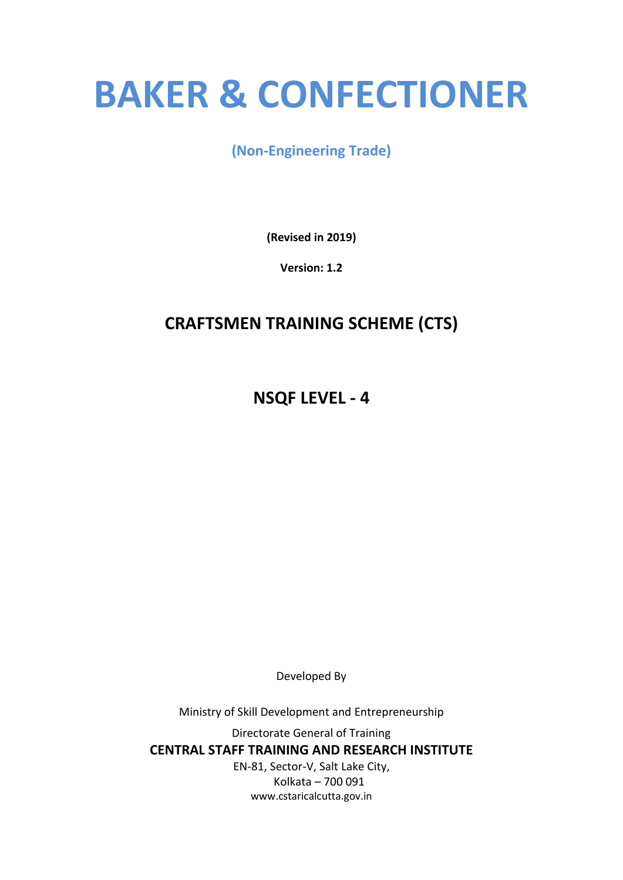# **BAKER & CONFECTIONER**

### **(Non-Engineering Trade)**

**(Revised in 2019)**

**Version: 1.2**

## **CRAFTSMEN TRAINING SCHEME (CTS)**

**NSQF LEVEL - 4**

Developed By

Ministry of Skill Development and Entrepreneurship

Directorate General of Training **CENTRAL STAFF TRAINING AND RESEARCH INSTITUTE** EN-81, Sector-V, Salt Lake City, Kolkata – 700 091 www.cstaricalcutta.gov.in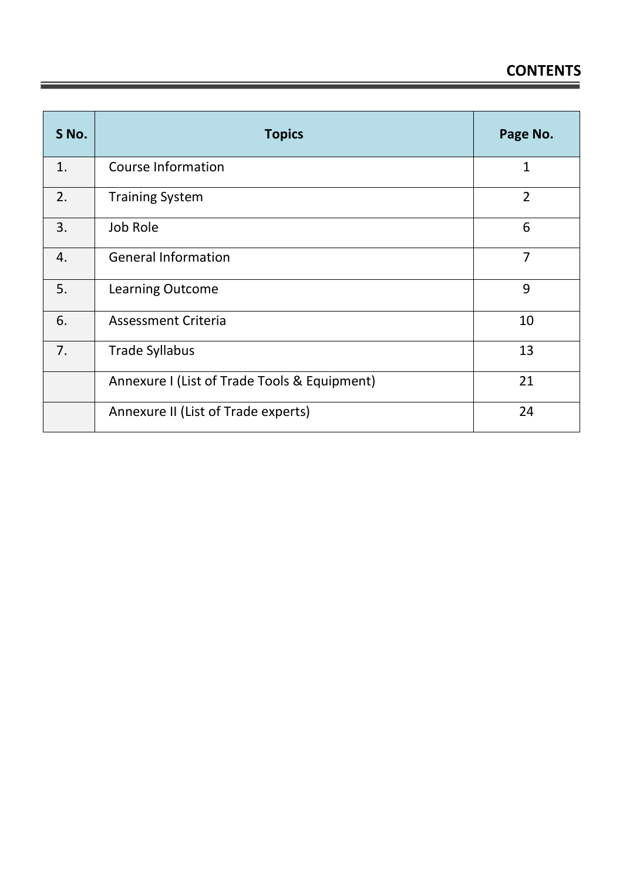| S No.            | <b>Topics</b>                                | Page No.       |
|------------------|----------------------------------------------|----------------|
| 1.               | <b>Course Information</b>                    | 1              |
| 2.               | <b>Training System</b>                       | $\overline{2}$ |
| 3.               | Job Role                                     | 6              |
| $\overline{4}$ . | <b>General Information</b>                   | $\overline{7}$ |
| 5.               | <b>Learning Outcome</b>                      | 9              |
| 6.               | <b>Assessment Criteria</b>                   | 10             |
| 7.               | <b>Trade Syllabus</b>                        | 13             |
|                  | Annexure I (List of Trade Tools & Equipment) | 21             |
|                  | Annexure II (List of Trade experts)          | 24             |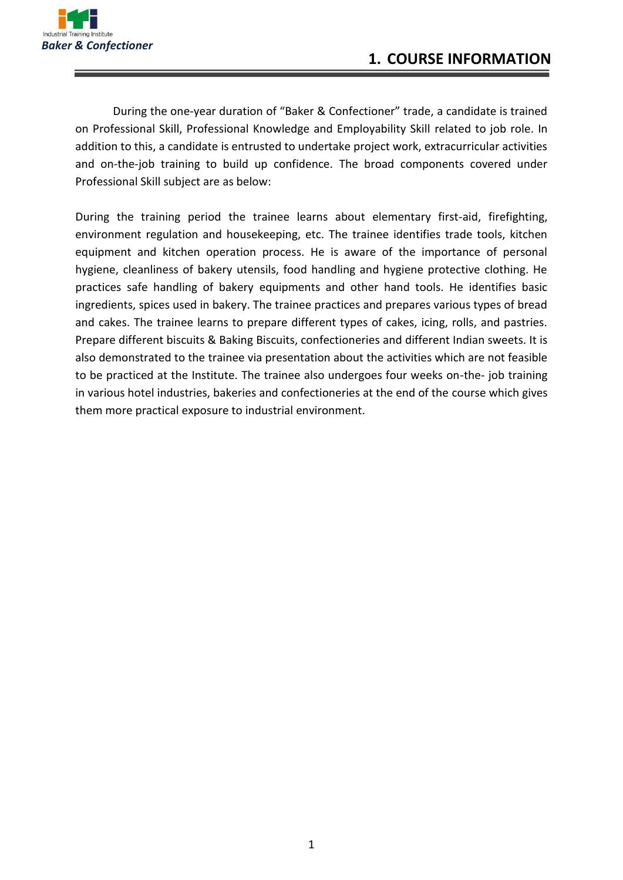

During the one-year duration of "Baker & Confectioner" trade, a candidate is trained on Professional Skill, Professional Knowledge and Employability Skill related to job role. In addition to this, a candidate is entrusted to undertake project work, extracurricular activities and on-the-job training to build up confidence. The broad components covered under Professional Skill subject are as below:

During the training period the trainee learns about elementary first-aid, firefighting, environment regulation and housekeeping, etc. The trainee identifies trade tools, kitchen equipment and kitchen operation process. He is aware of the importance of personal hygiene, cleanliness of bakery utensils, food handling and hygiene protective clothing. He practices safe handling of bakery equipments and other hand tools. He identifies basic ingredients, spices used in bakery. The trainee practices and prepares various types of bread and cakes. The trainee learns to prepare different types of cakes, icing, rolls, and pastries. Prepare different biscuits & Baking Biscuits, confectioneries and different Indian sweets. It is also demonstrated to the trainee via presentation about the activities which are not feasible to be practiced at the Institute. The trainee also undergoes four weeks on-the- job training in various hotel industries, bakeries and confectioneries at the end of the course which gives them more practical exposure to industrial environment.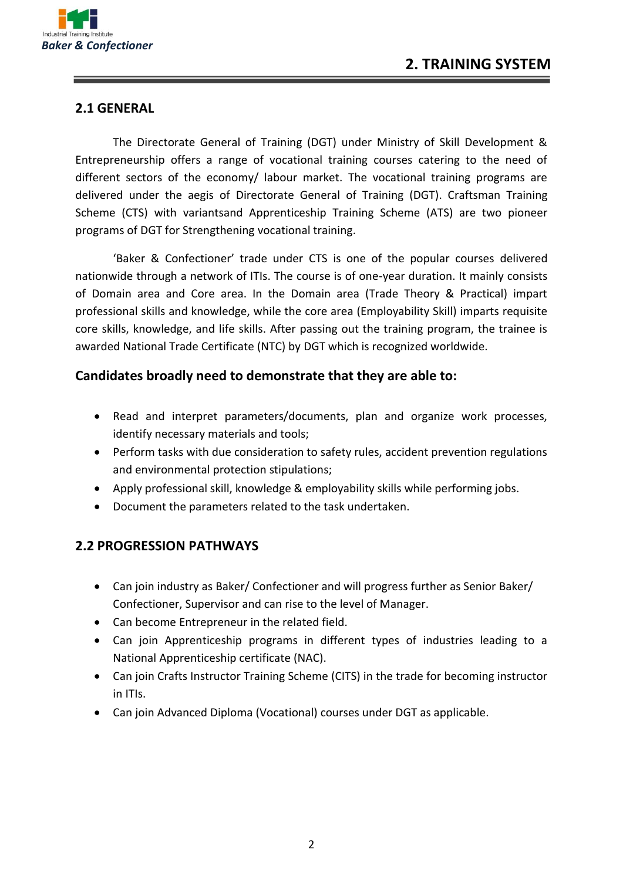

#### **2.1 GENERAL**

The Directorate General of Training (DGT) under Ministry of Skill Development & Entrepreneurship offers a range of vocational training courses catering to the need of different sectors of the economy/ labour market. The vocational training programs are delivered under the aegis of Directorate General of Training (DGT). Craftsman Training Scheme (CTS) with variantsand Apprenticeship Training Scheme (ATS) are two pioneer programs of DGT for Strengthening vocational training.

'Baker & Confectioner' trade under CTS is one of the popular courses delivered nationwide through a network of ITIs. The course is of one-year duration. It mainly consists of Domain area and Core area. In the Domain area (Trade Theory & Practical) impart professional skills and knowledge, while the core area (Employability Skill) imparts requisite core skills, knowledge, and life skills. After passing out the training program, the trainee is awarded National Trade Certificate (NTC) by DGT which is recognized worldwide.

#### **Candidates broadly need to demonstrate that they are able to:**

- Read and interpret parameters/documents, plan and organize work processes, identify necessary materials and tools;
- Perform tasks with due consideration to safety rules, accident prevention regulations and environmental protection stipulations;
- Apply professional skill, knowledge & employability skills while performing jobs.
- Document the parameters related to the task undertaken.

#### **2.2 PROGRESSION PATHWAYS**

- Can join industry as Baker/ Confectioner and will progress further as Senior Baker/ Confectioner, Supervisor and can rise to the level of Manager.
- Can become Entrepreneur in the related field.
- Can join Apprenticeship programs in different types of industries leading to a National Apprenticeship certificate (NAC).
- Can join Crafts Instructor Training Scheme (CITS) in the trade for becoming instructor in ITIs.
- Can join Advanced Diploma (Vocational) courses under DGT as applicable.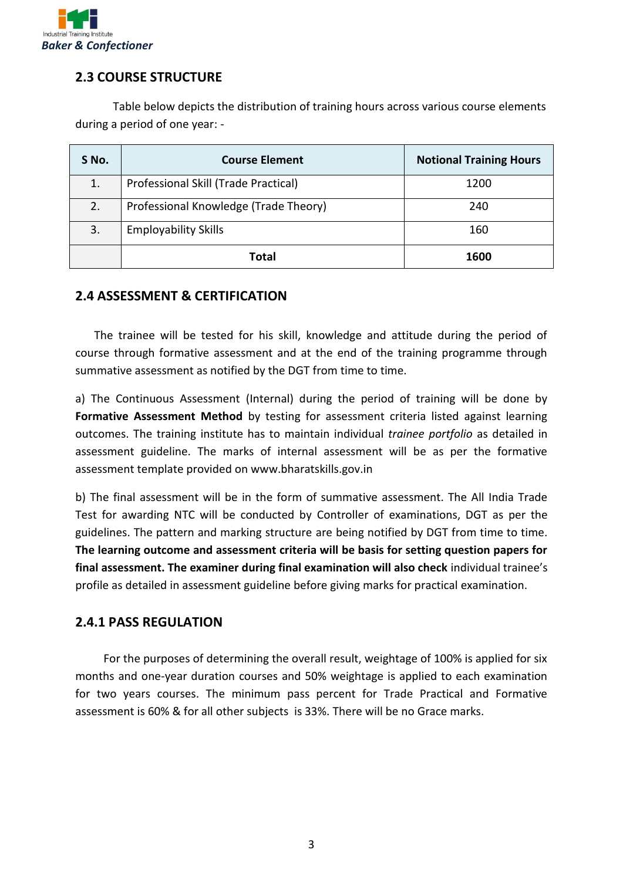

#### **2.3 COURSE STRUCTURE**

Table below depicts the distribution of training hours across various course elements during a period of one year: -

| S No. | <b>Course Element</b>                 | <b>Notional Training Hours</b> |
|-------|---------------------------------------|--------------------------------|
| 1.    | Professional Skill (Trade Practical)  | 1200                           |
| 2.    | Professional Knowledge (Trade Theory) | 240                            |
| 3.    | <b>Employability Skills</b>           | 160                            |
|       | Total                                 | 1600                           |

#### **2.4 ASSESSMENT & CERTIFICATION**

The trainee will be tested for his skill, knowledge and attitude during the period of course through formative assessment and at the end of the training programme through summative assessment as notified by the DGT from time to time.

a) The Continuous Assessment (Internal) during the period of training will be done by **Formative Assessment Method** by testing for assessment criteria listed against learning outcomes. The training institute has to maintain individual *trainee portfolio* as detailed in assessment guideline. The marks of internal assessment will be as per the formative assessment template provided on www.bharatskills.gov.in

b) The final assessment will be in the form of summative assessment. The All India Trade Test for awarding NTC will be conducted by Controller of examinations, DGT as per the guidelines. The pattern and marking structure are being notified by DGT from time to time. **The learning outcome and assessment criteria will be basis for setting question papers for final assessment. The examiner during final examination will also check** individual trainee's profile as detailed in assessment guideline before giving marks for practical examination.

#### **2.4.1 PASS REGULATION**

For the purposes of determining the overall result, weightage of 100% is applied for six months and one-year duration courses and 50% weightage is applied to each examination for two years courses. The minimum pass percent for Trade Practical and Formative assessment is 60% & for all other subjects is 33%. There will be no Grace marks.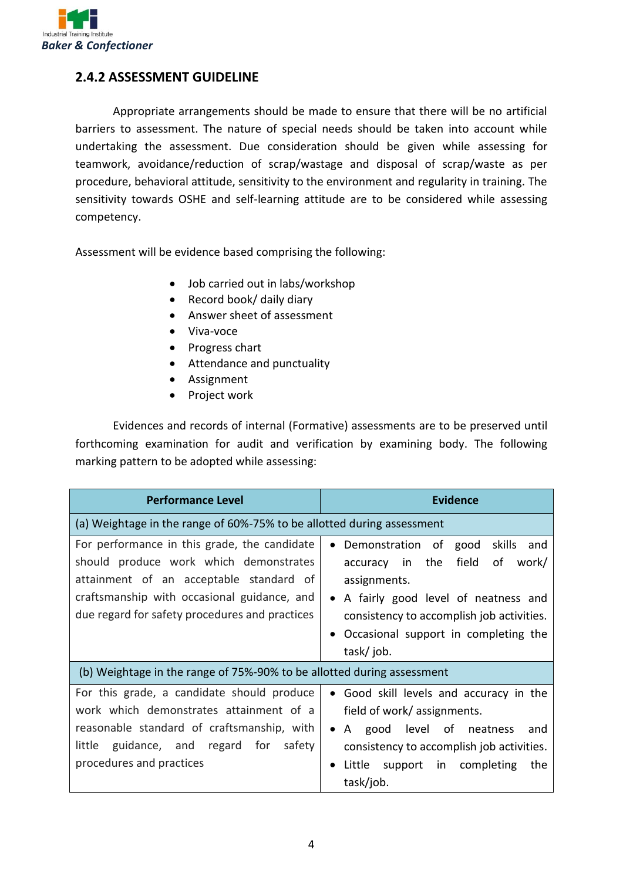

#### **2.4.2 ASSESSMENT GUIDELINE**

Appropriate arrangements should be made to ensure that there will be no artificial barriers to assessment. The nature of special needs should be taken into account while undertaking the assessment. Due consideration should be given while assessing for teamwork, avoidance/reduction of scrap/wastage and disposal of scrap/waste as per procedure, behavioral attitude, sensitivity to the environment and regularity in training. The sensitivity towards OSHE and self-learning attitude are to be considered while assessing competency.

Assessment will be evidence based comprising the following:

- Job carried out in labs/workshop
- Record book/ daily diary
- Answer sheet of assessment
- Viva-voce
- Progress chart
- Attendance and punctuality
- Assignment
- Project work

Evidences and records of internal (Formative) assessments are to be preserved until forthcoming examination for audit and verification by examining body. The following marking pattern to be adopted while assessing:

| <b>Performance Level</b>                                                                                                                                                                                                           | Evidence                                                                                                                                                                                                                                                                  |  |  |
|------------------------------------------------------------------------------------------------------------------------------------------------------------------------------------------------------------------------------------|---------------------------------------------------------------------------------------------------------------------------------------------------------------------------------------------------------------------------------------------------------------------------|--|--|
| (a) Weightage in the range of 60%-75% to be allotted during assessment                                                                                                                                                             |                                                                                                                                                                                                                                                                           |  |  |
| For performance in this grade, the candidate<br>should produce work which demonstrates<br>attainment of an acceptable standard of<br>craftsmanship with occasional guidance, and<br>due regard for safety procedures and practices | Demonstration of<br>skills<br>good<br>and<br>$\bullet$<br>field<br>accuracy in the<br>0f<br>work/<br>assignments.<br>• A fairly good level of neatness and<br>consistency to accomplish job activities.<br>Occasional support in completing the<br>$\bullet$<br>task/job. |  |  |
| (b) Weightage in the range of 75%-90% to be allotted during assessment                                                                                                                                                             |                                                                                                                                                                                                                                                                           |  |  |
| For this grade, a candidate should produce<br>work which demonstrates attainment of a<br>reasonable standard of craftsmanship, with<br>little guidance, and regard for safety<br>procedures and practices                          | • Good skill levels and accuracy in the<br>field of work/assignments.<br>• A good level of neatness<br>and<br>consistency to accomplish job activities.<br>Little support in completing<br>the<br>task/job.                                                               |  |  |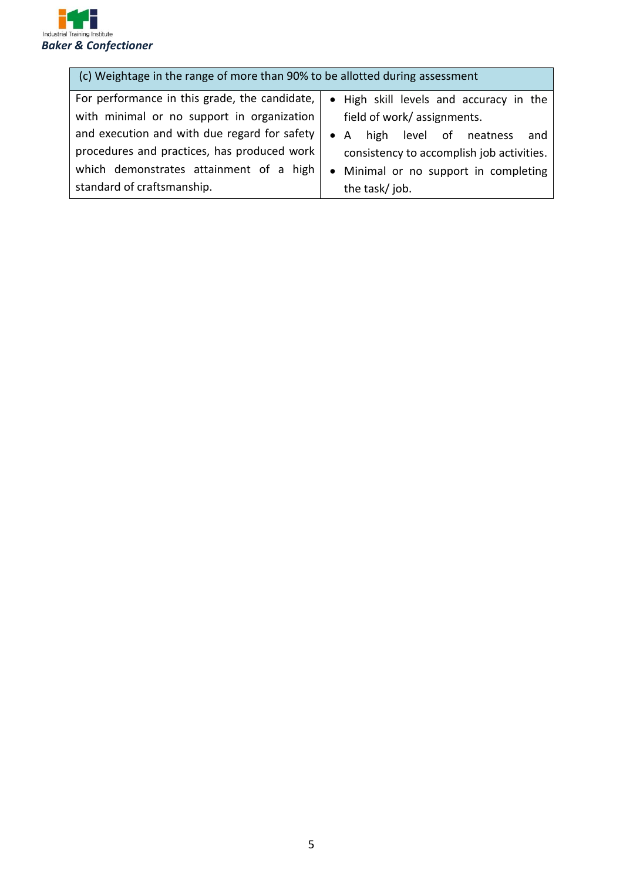

| (c) Weightage in the range of more than 90% to be allotted during assessment |                                              |  |  |
|------------------------------------------------------------------------------|----------------------------------------------|--|--|
| For performance in this grade, the candidate,                                | • High skill levels and accuracy in the      |  |  |
| with minimal or no support in organization                                   | field of work/assignments.                   |  |  |
| and execution and with due regard for safety                                 | high level of neatness<br>$\bullet$ A<br>and |  |  |
| procedures and practices, has produced work                                  | consistency to accomplish job activities.    |  |  |
| which demonstrates attainment of a high                                      | • Minimal or no support in completing        |  |  |
| standard of craftsmanship.                                                   | the task/job.                                |  |  |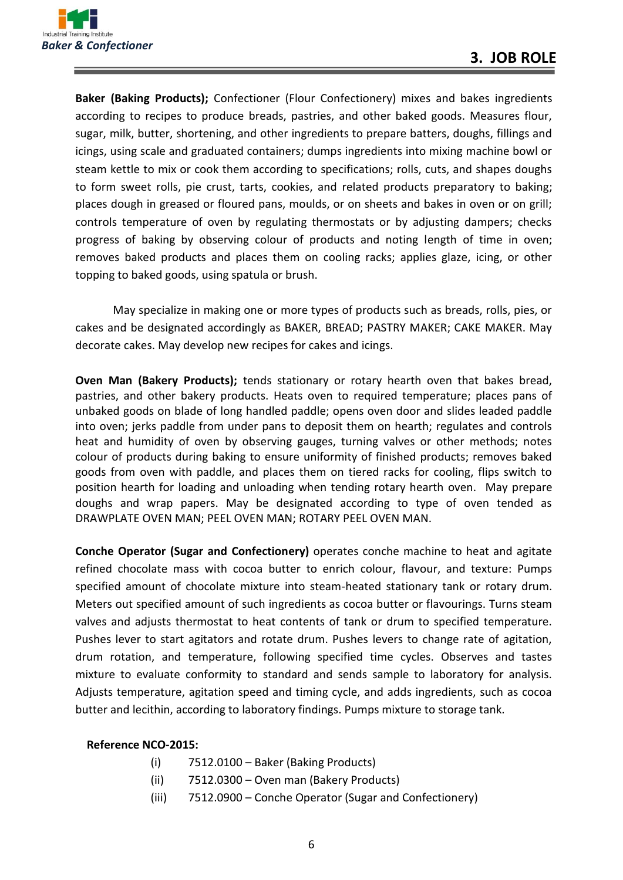

**Baker (Baking Products);** Confectioner (Flour Confectionery) mixes and bakes ingredients according to recipes to produce breads, pastries, and other baked goods. Measures flour, sugar, milk, butter, shortening, and other ingredients to prepare batters, doughs, fillings and icings, using scale and graduated containers; dumps ingredients into mixing machine bowl or steam kettle to mix or cook them according to specifications; rolls, cuts, and shapes doughs to form sweet rolls, pie crust, tarts, cookies, and related products preparatory to baking; places dough in greased or floured pans, moulds, or on sheets and bakes in oven or on grill; controls temperature of oven by regulating thermostats or by adjusting dampers; checks progress of baking by observing colour of products and noting length of time in oven; removes baked products and places them on cooling racks; applies glaze, icing, or other topping to baked goods, using spatula or brush.

May specialize in making one or more types of products such as breads, rolls, pies, or cakes and be designated accordingly as BAKER, BREAD; PASTRY MAKER; CAKE MAKER. May decorate cakes. May develop new recipes for cakes and icings.

**Oven Man (Bakery Products);** tends stationary or rotary hearth oven that bakes bread, pastries, and other bakery products. Heats oven to required temperature; places pans of unbaked goods on blade of long handled paddle; opens oven door and slides leaded paddle into oven; jerks paddle from under pans to deposit them on hearth; regulates and controls heat and humidity of oven by observing gauges, turning valves or other methods; notes colour of products during baking to ensure uniformity of finished products; removes baked goods from oven with paddle, and places them on tiered racks for cooling, flips switch to position hearth for loading and unloading when tending rotary hearth oven. May prepare doughs and wrap papers. May be designated according to type of oven tended as DRAWPLATE OVEN MAN; PEEL OVEN MAN; ROTARY PEEL OVEN MAN.

**Conche Operator (Sugar and Confectionery)** operates conche machine to heat and agitate refined chocolate mass with cocoa butter to enrich colour, flavour, and texture: Pumps specified amount of chocolate mixture into steam-heated stationary tank or rotary drum. Meters out specified amount of such ingredients as cocoa butter or flavourings. Turns steam valves and adjusts thermostat to heat contents of tank or drum to specified temperature. Pushes lever to start agitators and rotate drum. Pushes levers to change rate of agitation, drum rotation, and temperature, following specified time cycles. Observes and tastes mixture to evaluate conformity to standard and sends sample to laboratory for analysis. Adjusts temperature, agitation speed and timing cycle, and adds ingredients, such as cocoa butter and lecithin, according to laboratory findings. Pumps mixture to storage tank.

#### **Reference NCO-2015:**

- (i) 7512.0100 Baker (Baking Products)
- (ii) 7512.0300 Oven man (Bakery Products)
- (iii) 7512.0900 Conche Operator (Sugar and Confectionery)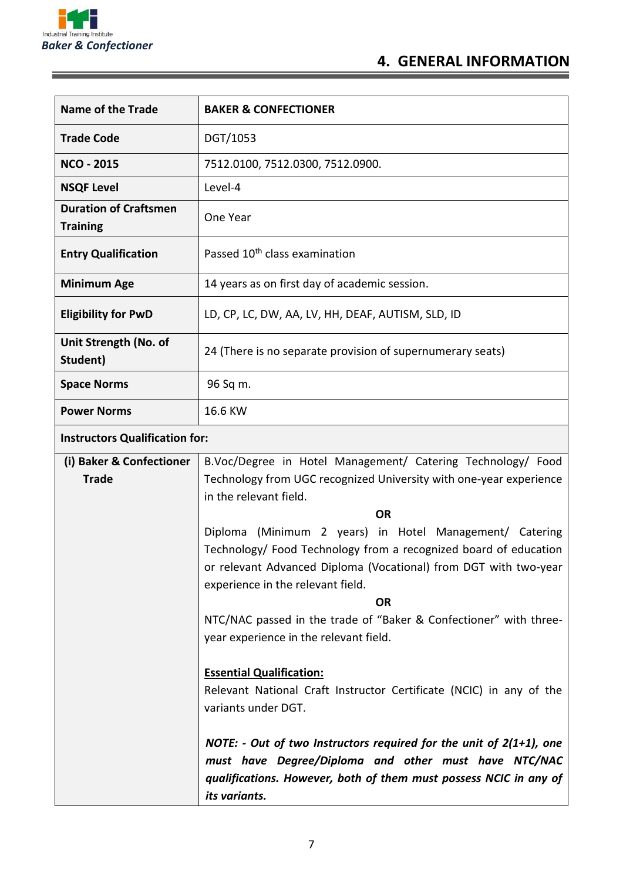

<u> The Common Seconds and Seconds and Seconds and Seconds and Seconds and Seconds and Seconds and Seconds and Seconds and Seconds and Seconds and Seconds and Seconds and Seconds and Seconds and Seconds and Seconds and Secon</u>

E

# **4. GENERAL INFORMATION**

| <b>Name of the Trade</b>                        | <b>BAKER &amp; CONFECTIONER</b>                                                                                                                                                                                                                   |
|-------------------------------------------------|---------------------------------------------------------------------------------------------------------------------------------------------------------------------------------------------------------------------------------------------------|
| <b>Trade Code</b>                               | DGT/1053                                                                                                                                                                                                                                          |
| <b>NCO - 2015</b>                               | 7512.0100, 7512.0300, 7512.0900.                                                                                                                                                                                                                  |
| <b>NSQF Level</b>                               | Level-4                                                                                                                                                                                                                                           |
| <b>Duration of Craftsmen</b><br><b>Training</b> | One Year                                                                                                                                                                                                                                          |
| <b>Entry Qualification</b>                      | Passed 10 <sup>th</sup> class examination                                                                                                                                                                                                         |
| <b>Minimum Age</b>                              | 14 years as on first day of academic session.                                                                                                                                                                                                     |
| <b>Eligibility for PwD</b>                      | LD, CP, LC, DW, AA, LV, HH, DEAF, AUTISM, SLD, ID                                                                                                                                                                                                 |
| Unit Strength (No. of<br>Student)               | 24 (There is no separate provision of supernumerary seats)                                                                                                                                                                                        |
| <b>Space Norms</b>                              | 96 Sq m.                                                                                                                                                                                                                                          |
| <b>Power Norms</b><br>16.6 KW                   |                                                                                                                                                                                                                                                   |
| <b>Instructors Qualification for:</b>           |                                                                                                                                                                                                                                                   |
| (i) Baker & Confectioner                        | B.Voc/Degree in Hotel Management/ Catering Technology/ Food                                                                                                                                                                                       |
| <b>Trade</b>                                    | Technology from UGC recognized University with one-year experience<br>in the relevant field.                                                                                                                                                      |
|                                                 | OR                                                                                                                                                                                                                                                |
|                                                 | Diploma (Minimum 2 years) in Hotel Management/ Catering<br>Technology/ Food Technology from a recognized board of education<br>or relevant Advanced Diploma (Vocational) from DGT with two-year<br>experience in the relevant field.<br><b>OR</b> |
|                                                 | NTC/NAC passed in the trade of "Baker & Confectioner" with three-                                                                                                                                                                                 |
|                                                 | year experience in the relevant field.                                                                                                                                                                                                            |
|                                                 | <b>Essential Qualification:</b><br>Relevant National Craft Instructor Certificate (NCIC) in any of the<br>variants under DGT.                                                                                                                     |
|                                                 | NOTE: - Out of two Instructors required for the unit of $2(1+1)$ , one<br>must have Degree/Diploma and other must have NTC/NAC<br>qualifications. However, both of them must possess NCIC in any of<br>its variants.                              |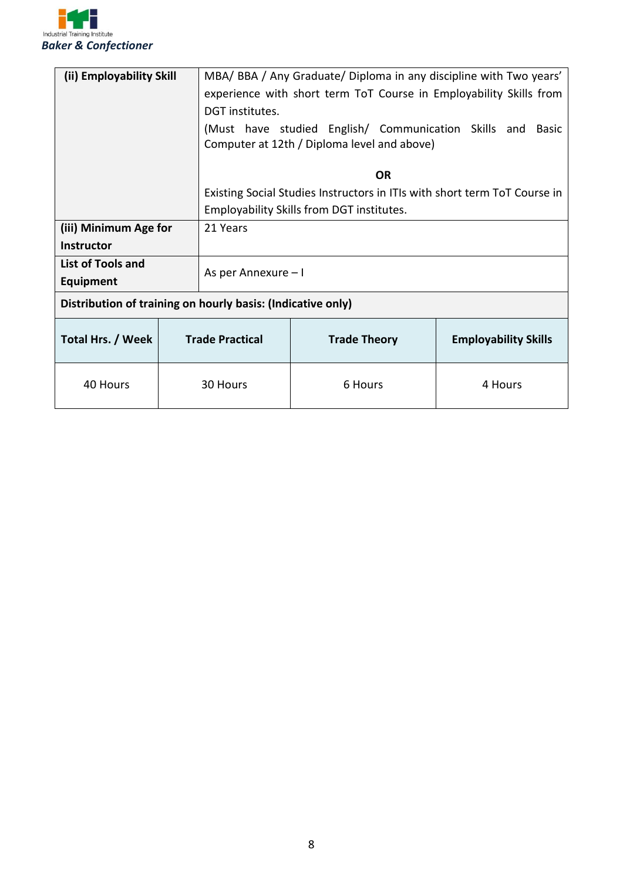

| (ii) Employability Skill                                    |  | MBA/ BBA / Any Graduate/ Diploma in any discipline with Two years'<br>experience with short term ToT Course in Employability Skills from<br>DGT institutes.<br>(Must have studied English/ Communication Skills and Basic<br>Computer at 12th / Diploma level and above) |  |                     |  |                             |
|-------------------------------------------------------------|--|--------------------------------------------------------------------------------------------------------------------------------------------------------------------------------------------------------------------------------------------------------------------------|--|---------------------|--|-----------------------------|
|                                                             |  | <b>OR</b>                                                                                                                                                                                                                                                                |  |                     |  |                             |
|                                                             |  | Existing Social Studies Instructors in ITIs with short term ToT Course in                                                                                                                                                                                                |  |                     |  |                             |
|                                                             |  | Employability Skills from DGT institutes.                                                                                                                                                                                                                                |  |                     |  |                             |
| (iii) Minimum Age for                                       |  | 21 Years                                                                                                                                                                                                                                                                 |  |                     |  |                             |
| <b>Instructor</b>                                           |  |                                                                                                                                                                                                                                                                          |  |                     |  |                             |
| <b>List of Tools and</b><br><b>Equipment</b>                |  | As per Annexure - I                                                                                                                                                                                                                                                      |  |                     |  |                             |
| Distribution of training on hourly basis: (Indicative only) |  |                                                                                                                                                                                                                                                                          |  |                     |  |                             |
| Total Hrs. / Week                                           |  | <b>Trade Practical</b>                                                                                                                                                                                                                                                   |  | <b>Trade Theory</b> |  | <b>Employability Skills</b> |
| 40 Hours                                                    |  | 30 Hours                                                                                                                                                                                                                                                                 |  | 6 Hours             |  | 4 Hours                     |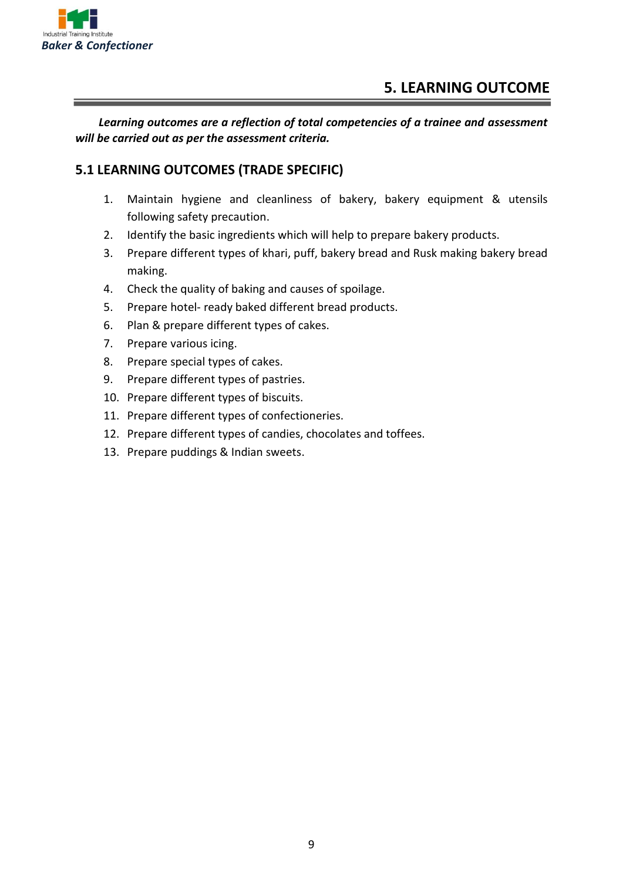

*Learning outcomes are a reflection of total competencies of a trainee and assessment will be carried out as per the assessment criteria.*

#### **5.1 LEARNING OUTCOMES (TRADE SPECIFIC)**

- 1. Maintain hygiene and cleanliness of bakery, bakery equipment & utensils following safety precaution.
- 2. Identify the basic ingredients which will help to prepare bakery products.
- 3. Prepare different types of khari, puff, bakery bread and Rusk making bakery bread making.
- 4. Check the quality of baking and causes of spoilage.
- 5. Prepare hotel- ready baked different bread products.
- 6. Plan & prepare different types of cakes.
- 7. Prepare various icing.
- 8. Prepare special types of cakes.
- 9. Prepare different types of pastries.
- 10. Prepare different types of biscuits.
- 11. Prepare different types of confectioneries.
- 12. Prepare different types of candies, chocolates and toffees.
- 13. Prepare puddings & Indian sweets.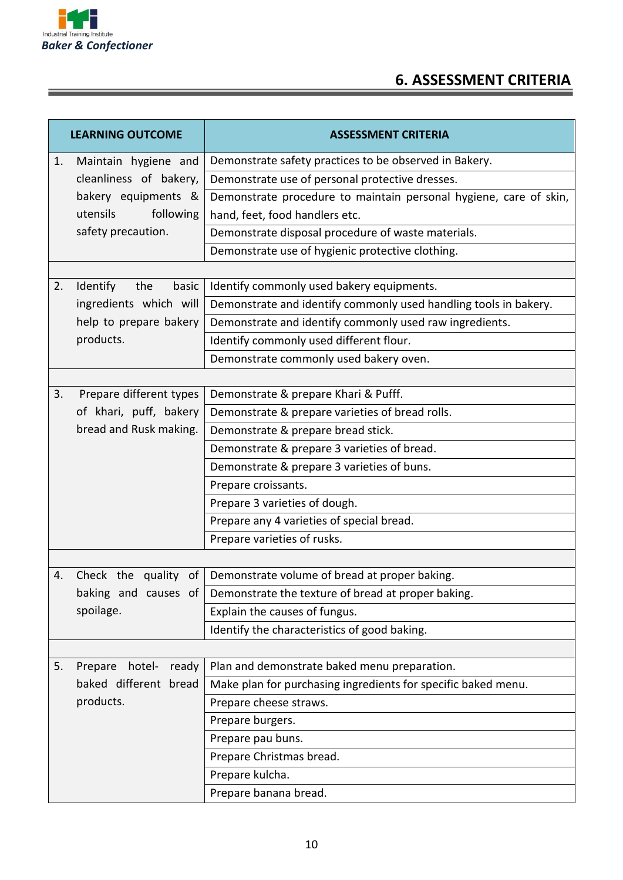

E

## **6. ASSESSMENT CRITERIA**

|    | <b>LEARNING OUTCOME</b>    | <b>ASSESSMENT CRITERIA</b>                                        |
|----|----------------------------|-------------------------------------------------------------------|
| 1. | Maintain hygiene and       | Demonstrate safety practices to be observed in Bakery.            |
|    | cleanliness of bakery,     | Demonstrate use of personal protective dresses.                   |
|    | bakery equipments &        | Demonstrate procedure to maintain personal hygiene, care of skin, |
|    | utensils<br>following      | hand, feet, food handlers etc.                                    |
|    | safety precaution.         | Demonstrate disposal procedure of waste materials.                |
|    |                            | Demonstrate use of hygienic protective clothing.                  |
|    |                            |                                                                   |
| 2. | Identify<br>the<br>basic   | Identify commonly used bakery equipments.                         |
|    | ingredients which will     | Demonstrate and identify commonly used handling tools in bakery.  |
|    | help to prepare bakery     | Demonstrate and identify commonly used raw ingredients.           |
|    | products.                  | Identify commonly used different flour.                           |
|    |                            | Demonstrate commonly used bakery oven.                            |
|    |                            |                                                                   |
| 3. | Prepare different types    | Demonstrate & prepare Khari & Pufff.                              |
|    | of khari, puff, bakery     | Demonstrate & prepare varieties of bread rolls.                   |
|    | bread and Rusk making.     | Demonstrate & prepare bread stick.                                |
|    |                            | Demonstrate & prepare 3 varieties of bread.                       |
|    |                            | Demonstrate & prepare 3 varieties of buns.                        |
|    |                            | Prepare croissants.                                               |
|    |                            | Prepare 3 varieties of dough.                                     |
|    |                            | Prepare any 4 varieties of special bread.                         |
|    |                            | Prepare varieties of rusks.                                       |
|    |                            |                                                                   |
| 4. | Check the quality of       | Demonstrate volume of bread at proper baking.                     |
|    | baking and causes of       | Demonstrate the texture of bread at proper baking.                |
|    | spoilage.                  | Explain the causes of fungus.                                     |
|    |                            | Identify the characteristics of good baking.                      |
|    |                            |                                                                   |
| 5. | hotel-<br>Prepare<br>ready | Plan and demonstrate baked menu preparation.                      |
|    | baked different bread      | Make plan for purchasing ingredients for specific baked menu.     |
|    | products.                  | Prepare cheese straws.                                            |
|    |                            | Prepare burgers.                                                  |
|    |                            | Prepare pau buns.                                                 |
|    |                            | Prepare Christmas bread.                                          |
|    |                            | Prepare kulcha.                                                   |
|    |                            | Prepare banana bread.                                             |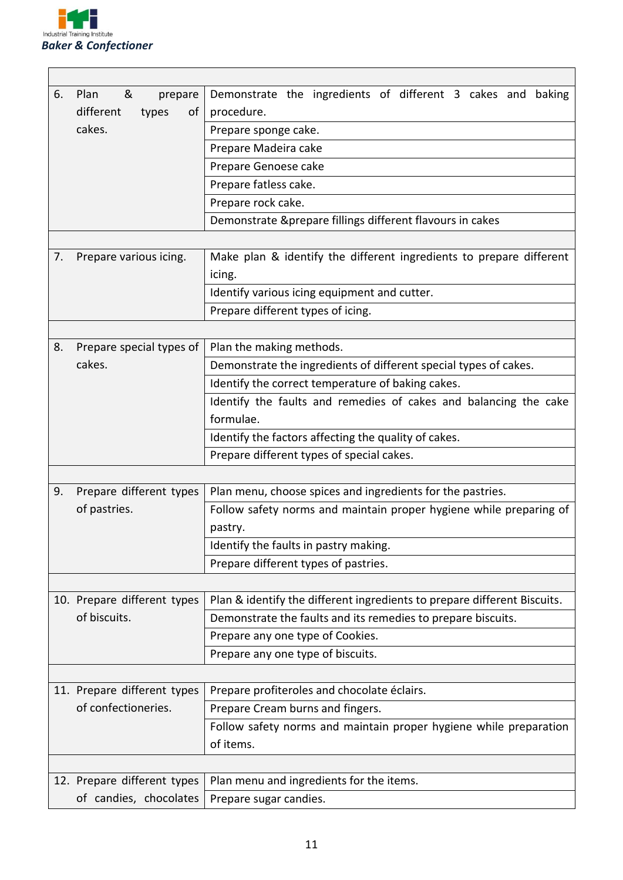

| 6. | &<br>Plan<br>prepare        | Demonstrate the ingredients of different 3 cakes and baking              |  |  |  |
|----|-----------------------------|--------------------------------------------------------------------------|--|--|--|
|    | different<br>types<br>of    | procedure.                                                               |  |  |  |
|    | cakes.                      | Prepare sponge cake.                                                     |  |  |  |
|    |                             | Prepare Madeira cake                                                     |  |  |  |
|    |                             | Prepare Genoese cake                                                     |  |  |  |
|    |                             | Prepare fatless cake.                                                    |  |  |  |
|    |                             | Prepare rock cake.                                                       |  |  |  |
|    |                             | Demonstrate &prepare fillings different flavours in cakes                |  |  |  |
|    |                             |                                                                          |  |  |  |
| 7. | Prepare various icing.      | Make plan & identify the different ingredients to prepare different      |  |  |  |
|    |                             | icing.                                                                   |  |  |  |
|    |                             | Identify various icing equipment and cutter.                             |  |  |  |
|    |                             | Prepare different types of icing.                                        |  |  |  |
|    |                             |                                                                          |  |  |  |
| 8. | Prepare special types of    | Plan the making methods.                                                 |  |  |  |
|    | cakes.                      | Demonstrate the ingredients of different special types of cakes.         |  |  |  |
|    |                             | Identify the correct temperature of baking cakes.                        |  |  |  |
|    |                             | Identify the faults and remedies of cakes and balancing the cake         |  |  |  |
|    |                             | formulae.                                                                |  |  |  |
|    |                             | Identify the factors affecting the quality of cakes.                     |  |  |  |
|    |                             | Prepare different types of special cakes.                                |  |  |  |
|    |                             |                                                                          |  |  |  |
| 9. | Prepare different types     | Plan menu, choose spices and ingredients for the pastries.               |  |  |  |
|    | of pastries.                | Follow safety norms and maintain proper hygiene while preparing of       |  |  |  |
|    |                             | pastry.                                                                  |  |  |  |
|    |                             | Identify the faults in pastry making.                                    |  |  |  |
|    |                             | Prepare different types of pastries.                                     |  |  |  |
|    |                             |                                                                          |  |  |  |
|    | 10. Prepare different types | Plan & identify the different ingredients to prepare different Biscuits. |  |  |  |
|    | of biscuits.                | Demonstrate the faults and its remedies to prepare biscuits.             |  |  |  |
|    |                             | Prepare any one type of Cookies.                                         |  |  |  |
|    |                             | Prepare any one type of biscuits.                                        |  |  |  |
|    |                             |                                                                          |  |  |  |
|    | 11. Prepare different types | Prepare profiteroles and chocolate éclairs.                              |  |  |  |
|    | of confectioneries.         | Prepare Cream burns and fingers.                                         |  |  |  |
|    |                             | Follow safety norms and maintain proper hygiene while preparation        |  |  |  |
|    |                             | of items.                                                                |  |  |  |
|    |                             |                                                                          |  |  |  |
|    | 12. Prepare different types | Plan menu and ingredients for the items.                                 |  |  |  |
|    | of candies, chocolates      | Prepare sugar candies.                                                   |  |  |  |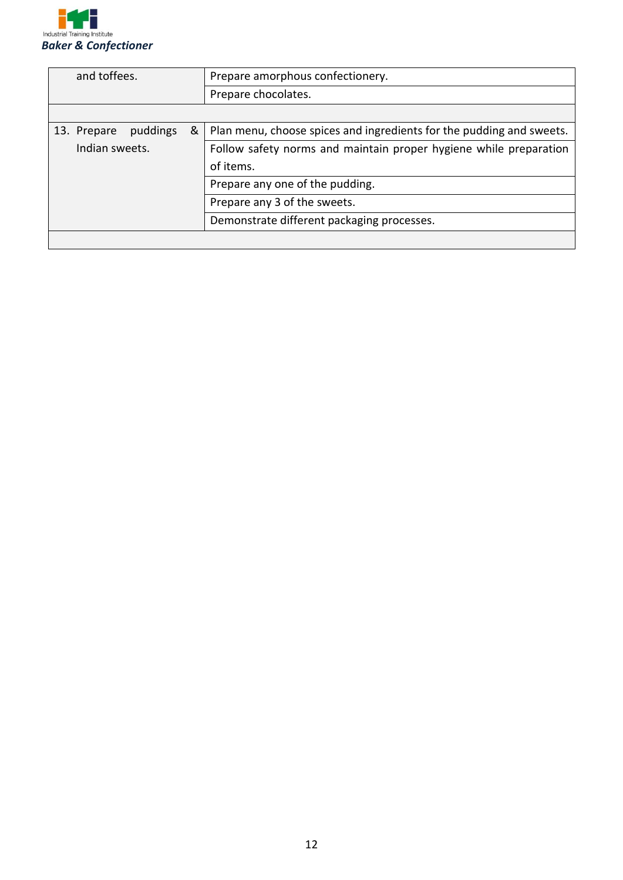

| and toffees.                 | Prepare amorphous confectionery.                                     |  |  |
|------------------------------|----------------------------------------------------------------------|--|--|
|                              | Prepare chocolates.                                                  |  |  |
|                              |                                                                      |  |  |
| &<br>puddings<br>13. Prepare | Plan menu, choose spices and ingredients for the pudding and sweets. |  |  |
| Indian sweets.               | Follow safety norms and maintain proper hygiene while preparation    |  |  |
|                              | of items.                                                            |  |  |
|                              | Prepare any one of the pudding.                                      |  |  |
|                              | Prepare any 3 of the sweets.                                         |  |  |
|                              | Demonstrate different packaging processes.                           |  |  |
|                              |                                                                      |  |  |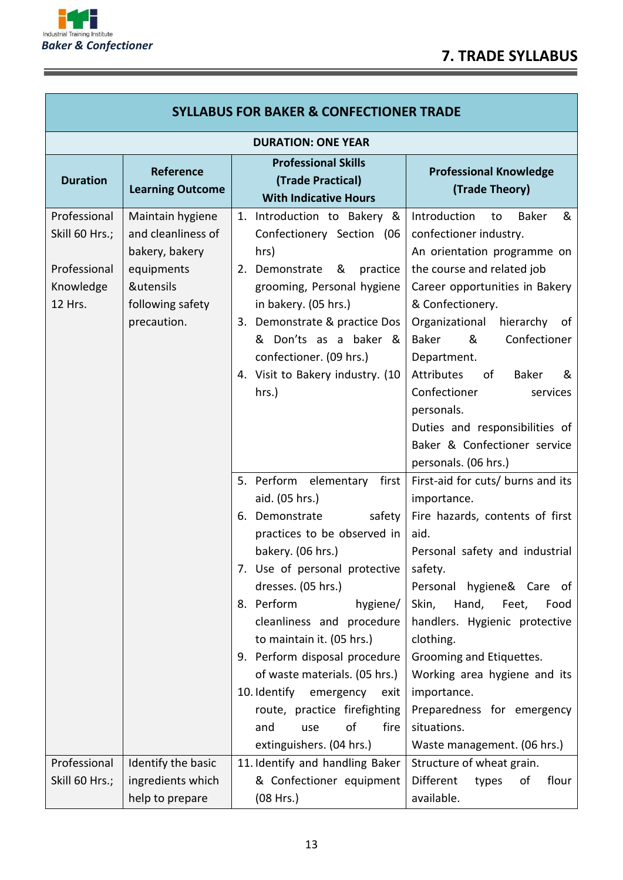÷



<u> Tanzania de la contenentación de la contenentación de la contenentación de la contenentación de la contenenta</u>

| <b>SYLLABUS FOR BAKER &amp; CONFECTIONER TRADE</b>                     |                                                                                                                        |                                                                                                                                                                                                                                                                                                                                                                                                                                                                            |                                                                                                                                                                                                                                                                                                                                                                                                                                                     |  |  |
|------------------------------------------------------------------------|------------------------------------------------------------------------------------------------------------------------|----------------------------------------------------------------------------------------------------------------------------------------------------------------------------------------------------------------------------------------------------------------------------------------------------------------------------------------------------------------------------------------------------------------------------------------------------------------------------|-----------------------------------------------------------------------------------------------------------------------------------------------------------------------------------------------------------------------------------------------------------------------------------------------------------------------------------------------------------------------------------------------------------------------------------------------------|--|--|
| <b>DURATION: ONE YEAR</b>                                              |                                                                                                                        |                                                                                                                                                                                                                                                                                                                                                                                                                                                                            |                                                                                                                                                                                                                                                                                                                                                                                                                                                     |  |  |
| <b>Duration</b>                                                        | <b>Reference</b><br><b>Learning Outcome</b>                                                                            | <b>Professional Skills</b><br>(Trade Practical)<br><b>With Indicative Hours</b>                                                                                                                                                                                                                                                                                                                                                                                            | <b>Professional Knowledge</b><br>(Trade Theory)                                                                                                                                                                                                                                                                                                                                                                                                     |  |  |
| Professional<br>Skill 60 Hrs.;<br>Professional<br>Knowledge<br>12 Hrs. | Maintain hygiene<br>and cleanliness of<br>bakery, bakery<br>equipments<br>&utensils<br>following safety<br>precaution. | 1. Introduction to Bakery &<br>Confectionery Section (06<br>hrs)<br>2. Demonstrate<br>practice<br>&<br>grooming, Personal hygiene<br>in bakery. (05 hrs.)<br>3. Demonstrate & practice Dos<br>& Don'ts as a baker &<br>confectioner. (09 hrs.)<br>4. Visit to Bakery industry. (10<br>hrs.)                                                                                                                                                                                | Introduction<br><b>Baker</b><br>&<br>to<br>confectioner industry.<br>An orientation programme on<br>the course and related job<br>Career opportunities in Bakery<br>& Confectionery.<br>Organizational<br>hierarchy<br>0f<br>Baker<br>&<br>Confectioner<br>Department.<br>Attributes<br>of<br><b>Baker</b><br>&<br>Confectioner<br>services<br>personals.<br>Duties and responsibilities of<br>Baker & Confectioner service<br>personals. (06 hrs.) |  |  |
|                                                                        |                                                                                                                        | 5. Perform elementary<br>first<br>aid. (05 hrs.)<br>6. Demonstrate<br>safety<br>practices to be observed in<br>bakery. (06 hrs.)<br>7. Use of personal protective<br>dresses. (05 hrs.)<br>8. Perform<br>hygiene/<br>cleanliness and procedure<br>to maintain it. (05 hrs.)<br>9. Perform disposal procedure<br>of waste materials. (05 hrs.)<br>10. Identify<br>emergency<br>exit<br>route, practice firefighting<br>of<br>fire<br>and<br>use<br>extinguishers. (04 hrs.) | First-aid for cuts/ burns and its<br>importance.<br>Fire hazards, contents of first<br>aid.<br>Personal safety and industrial<br>safety.<br>Personal hygiene& Care of<br>Skin,<br>Hand, Feet,<br>Food<br>handlers. Hygienic protective<br>clothing.<br>Grooming and Etiquettes.<br>Working area hygiene and its<br>importance.<br>Preparedness for emergency<br>situations.<br>Waste management. (06 hrs.)                                          |  |  |
| Professional<br>Skill 60 Hrs.;                                         | Identify the basic<br>ingredients which<br>help to prepare                                                             | 11. Identify and handling Baker<br>& Confectioner equipment<br>(08 Hrs.)                                                                                                                                                                                                                                                                                                                                                                                                   | Structure of wheat grain.<br>Different<br>flour<br>types<br>οf<br>available.                                                                                                                                                                                                                                                                                                                                                                        |  |  |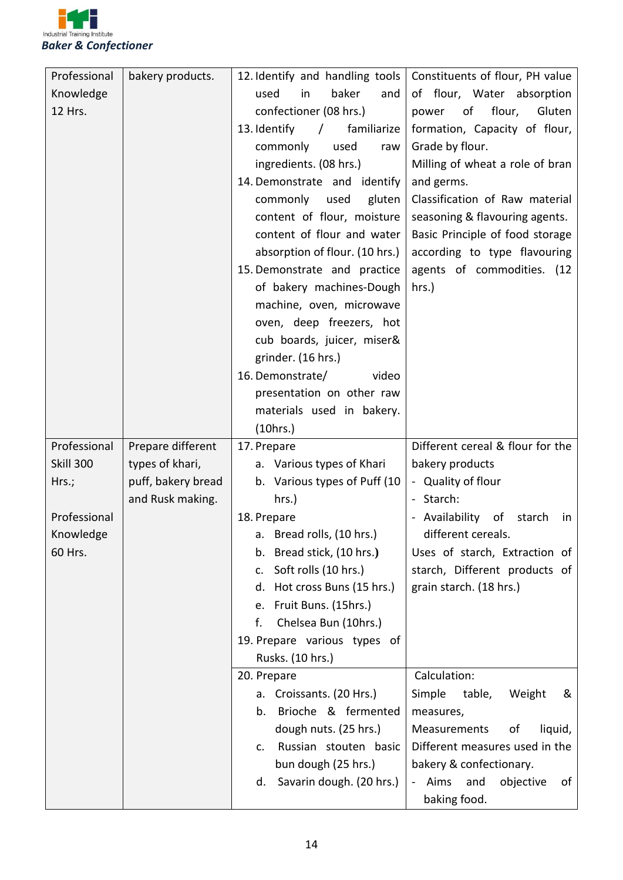

| Professional<br>12. Identify and handling tools<br>bakery products.<br>Constituents of flour, PH value |                  |
|--------------------------------------------------------------------------------------------------------|------------------|
| baker<br>Knowledge<br>used<br>in<br>and<br>of flour, Water absorption                                  |                  |
| confectioner (08 hrs.)<br>12 Hrs.<br>of<br>power                                                       | flour,<br>Gluten |
| familiarize<br>formation, Capacity of flour,<br>13. Identify<br>$\prime$                               |                  |
| Grade by flour.<br>commonly<br>used<br>raw                                                             |                  |
| ingredients. (08 hrs.)<br>Milling of wheat a role of bran                                              |                  |
| 14. Demonstrate and identify<br>and germs.                                                             |                  |
| Classification of Raw material<br>commonly used<br>gluten                                              |                  |
| content of flour, moisture<br>seasoning & flavouring agents.                                           |                  |
| content of flour and water<br>Basic Principle of food storage                                          |                  |
| absorption of flour. (10 hrs.)<br>according to type flavouring                                         |                  |
| 15. Demonstrate and practice<br>agents of commodities. (12                                             |                  |
| of bakery machines-Dough<br>hrs.)                                                                      |                  |
| machine, oven, microwave                                                                               |                  |
| oven, deep freezers, hot                                                                               |                  |
| cub boards, juicer, miser&                                                                             |                  |
| grinder. (16 hrs.)                                                                                     |                  |
| 16. Demonstrate/<br>video                                                                              |                  |
| presentation on other raw                                                                              |                  |
| materials used in bakery.                                                                              |                  |
| (10 hrs.)                                                                                              |                  |
| Different cereal & flour for the<br>Professional<br>Prepare different<br>17. Prepare                   |                  |
| <b>Skill 300</b><br>types of khari,<br>bakery products<br>a. Various types of Khari                    |                  |
| puff, bakery bread<br>b. Various types of Puff (10<br>- Quality of flour<br>Hrs.;                      |                  |
| and Rusk making.<br>- Starch:<br>hrs.)                                                                 |                  |
|                                                                                                        |                  |
| Professional                                                                                           |                  |
| 18. Prepare<br>- Availability of<br>a. Bread rolls, (10 hrs.)<br>different cereals.                    | starch<br>in     |
| Knowledge                                                                                              |                  |
| 60 Hrs.<br>b. Bread stick, (10 hrs.)<br>Uses of starch, Extraction of<br>c.                            |                  |
| starch, Different products of<br>Soft rolls (10 hrs.)                                                  |                  |
| d. Hot cross Buns (15 hrs.)<br>grain starch. (18 hrs.)<br>e.                                           |                  |
| Fruit Buns. (15hrs.)                                                                                   |                  |
| f.<br>Chelsea Bun (10hrs.)                                                                             |                  |
| 19. Prepare various types of                                                                           |                  |
| Rusks. (10 hrs.)                                                                                       |                  |
| 20. Prepare<br>Calculation:<br>а.                                                                      | &                |
| Croissants. (20 Hrs.)<br>Simple<br>table,<br>b.                                                        | Weight           |
| Brioche & fermented<br>measures,                                                                       |                  |
| dough nuts. (25 hrs.)<br>Measurements<br>c.                                                            | οf<br>liquid,    |
| Russian stouten basic<br>Different measures used in the                                                |                  |
| bun dough (25 hrs.)<br>bakery & confectionary.<br>Savarin dough. (20 hrs.)<br>and<br>- Aims<br>d.      | objective<br>of  |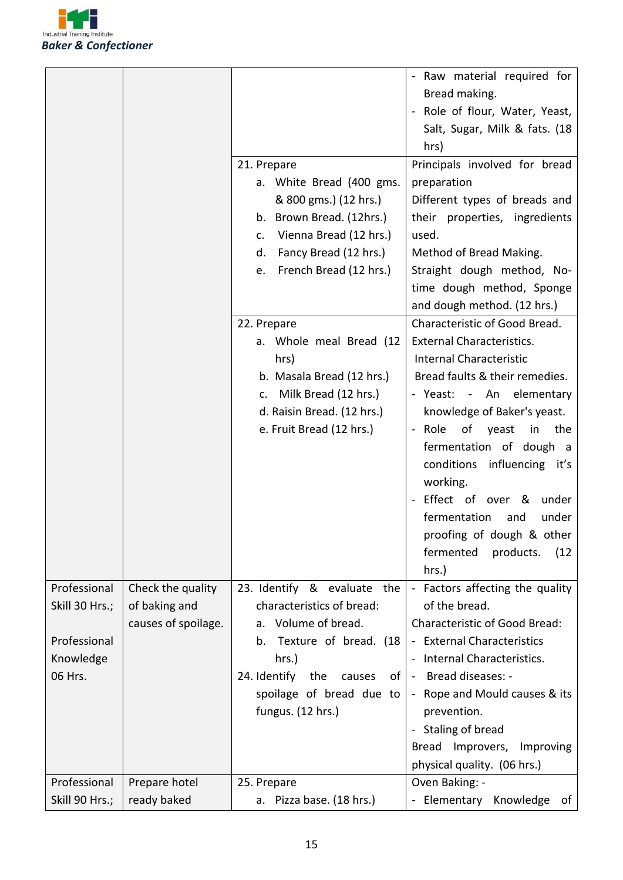

| - Raw material required for<br>Bread making.<br>Role of flour, Water, Yeast,<br>Salt, Sugar, Milk & fats. (18<br>hrs)<br>21. Prepare<br>Principals involved for bread |       |
|-----------------------------------------------------------------------------------------------------------------------------------------------------------------------|-------|
|                                                                                                                                                                       |       |
|                                                                                                                                                                       |       |
|                                                                                                                                                                       |       |
|                                                                                                                                                                       |       |
|                                                                                                                                                                       |       |
|                                                                                                                                                                       |       |
| a. White Bread (400 gms.<br>preparation                                                                                                                               |       |
| & 800 gms.) (12 hrs.)<br>Different types of breads and                                                                                                                |       |
| b. Brown Bread. (12hrs.)<br>their properties, ingredients                                                                                                             |       |
| Vienna Bread (12 hrs.)<br>used.<br>c.                                                                                                                                 |       |
| Fancy Bread (12 hrs.)<br>Method of Bread Making.<br>d.                                                                                                                |       |
| French Bread (12 hrs.)<br>Straight dough method, No-<br>e.                                                                                                            |       |
| time dough method, Sponge                                                                                                                                             |       |
| and dough method. (12 hrs.)                                                                                                                                           |       |
| Characteristic of Good Bread.<br>22. Prepare                                                                                                                          |       |
| <b>External Characteristics.</b><br>a. Whole meal Bread (12                                                                                                           |       |
| <b>Internal Characteristic</b><br>hrs)                                                                                                                                |       |
| Bread faults & their remedies.<br>b. Masala Bread (12 hrs.)                                                                                                           |       |
| c. Milk Bread (12 hrs.)<br>- Yeast: - An elementary                                                                                                                   |       |
| d. Raisin Bread. (12 hrs.)<br>knowledge of Baker's yeast.                                                                                                             |       |
| e. Fruit Bread (12 hrs.)<br>of<br>- Role<br>yeast<br>in                                                                                                               | the   |
| fermentation of dough a                                                                                                                                               |       |
| conditions<br>influencing it's                                                                                                                                        |       |
| working.                                                                                                                                                              |       |
| - Effect of over &<br>under                                                                                                                                           |       |
| fermentation<br>and                                                                                                                                                   | under |
| proofing of dough & other                                                                                                                                             |       |
| fermented                                                                                                                                                             |       |
| products.                                                                                                                                                             | (12)  |
| hrs.)                                                                                                                                                                 |       |
| Professional<br>Factors affecting the quality<br>Check the quality<br>23. Identify & evaluate<br>the                                                                  |       |
| of the bread.<br>characteristics of bread:<br>Skill 30 Hrs.;<br>of baking and                                                                                         |       |
| causes of spoilage.<br>a. Volume of bread.<br><b>Characteristic of Good Bread:</b>                                                                                    |       |
| - External Characteristics<br>Professional<br>Texture of bread. (18<br>b.                                                                                             |       |
| Knowledge<br>Internal Characteristics.<br>hrs.)<br>$\overline{\phantom{a}}$                                                                                           |       |
| 06 Hrs.<br>24. Identify<br>Bread diseases: -<br>the<br>causes<br>of<br>$\blacksquare$                                                                                 |       |
|                                                                                                                                                                       |       |
| spoilage of bread due to<br>- Rope and Mould causes & its                                                                                                             |       |
| fungus. (12 hrs.)<br>prevention.                                                                                                                                      |       |
| Staling of bread<br>$\blacksquare$                                                                                                                                    |       |
| Bread Improvers,<br>Improving                                                                                                                                         |       |
| physical quality. (06 hrs.)                                                                                                                                           |       |
| Professional<br>Prepare hotel<br>Oven Baking: -<br>25. Prepare                                                                                                        |       |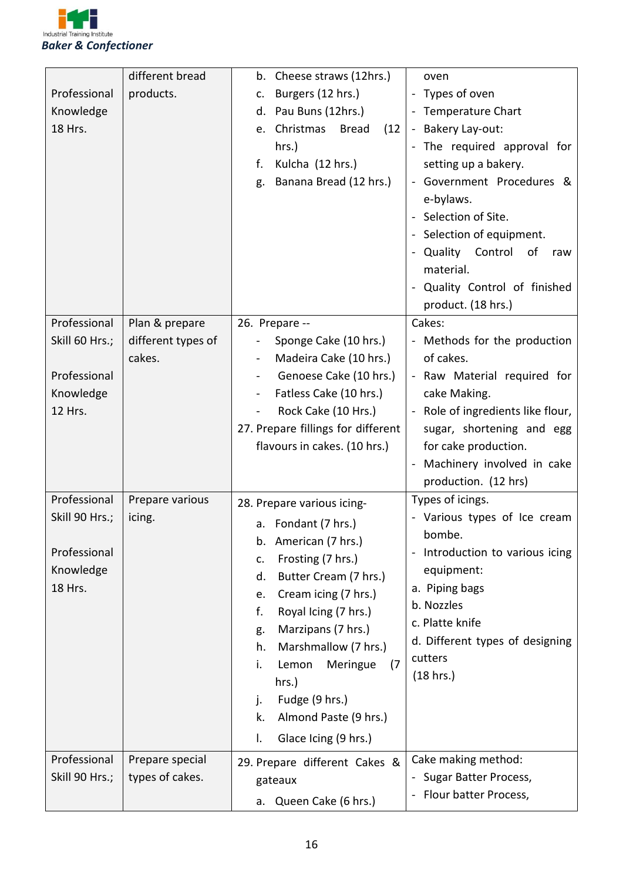

|                | different bread    | b. Cheese straws (12hrs.)               | oven                              |
|----------------|--------------------|-----------------------------------------|-----------------------------------|
| Professional   | products.          | Burgers (12 hrs.)<br>c.                 | - Types of oven                   |
| Knowledge      |                    | Pau Buns (12hrs.)<br>d.                 | - Temperature Chart               |
| 18 Hrs.        |                    | Christmas<br><b>Bread</b><br>(12)<br>e. | - Bakery Lay-out:                 |
|                |                    | hrs.)                                   | - The required approval for       |
|                |                    | Kulcha (12 hrs.)<br>f.                  | setting up a bakery.              |
|                |                    | Banana Bread (12 hrs.)<br>g.            | Government Procedures &           |
|                |                    |                                         | e-bylaws.                         |
|                |                    |                                         | - Selection of Site.              |
|                |                    |                                         | - Selection of equipment.         |
|                |                    |                                         | - Quality Control<br>of<br>raw    |
|                |                    |                                         | material.                         |
|                |                    |                                         | - Quality Control of finished     |
|                |                    |                                         | product. (18 hrs.)                |
| Professional   | Plan & prepare     | 26. Prepare --                          | Cakes:                            |
| Skill 60 Hrs.; | different types of | Sponge Cake (10 hrs.)                   | - Methods for the production      |
|                | cakes.             | Madeira Cake (10 hrs.)                  | of cakes.                         |
| Professional   |                    | Genoese Cake (10 hrs.)                  | - Raw Material required for       |
| Knowledge      |                    | Fatless Cake (10 hrs.)                  | cake Making.                      |
| 12 Hrs.        |                    | Rock Cake (10 Hrs.)                     | - Role of ingredients like flour, |
|                |                    | 27. Prepare fillings for different      | sugar, shortening and egg         |
|                |                    | flavours in cakes. (10 hrs.)            | for cake production.              |
|                |                    |                                         | - Machinery involved in cake      |
|                |                    |                                         | production. (12 hrs)              |
| Professional   | Prepare various    | 28. Prepare various icing-              | Types of icings.                  |
| Skill 90 Hrs.; | icing.             |                                         | - Various types of Ice cream      |
|                |                    | a. Fondant (7 hrs.)                     | bombe.                            |
| Professional   |                    | American (7 hrs.)<br>b.                 | Introduction to various icing     |
| Knowledge      |                    | Frosting (7 hrs.)<br>c.                 | equipment:                        |
| 18 Hrs.        |                    | Butter Cream (7 hrs.)<br>d.             | a. Piping bags                    |
|                |                    | Cream icing (7 hrs.)<br>e.              | b. Nozzles                        |
|                |                    | f.<br>Royal Icing (7 hrs.)              | c. Platte knife                   |
|                |                    | Marzipans (7 hrs.)<br>g.                | d. Different types of designing   |
|                |                    | Marshmallow (7 hrs.)<br>h.              | cutters                           |
|                |                    | (7)<br>i.<br>Lemon<br>Meringue          | (18 hrs.)                         |
|                |                    | hrs.)                                   |                                   |
|                |                    | Fudge (9 hrs.)<br>j.                    |                                   |
|                |                    | Almond Paste (9 hrs.)<br>k.             |                                   |
|                |                    | Glace Icing (9 hrs.)<br>I.              |                                   |
| Professional   | Prepare special    | 29. Prepare different Cakes &           | Cake making method:               |
| Skill 90 Hrs.; | types of cakes.    | gateaux                                 | Sugar Batter Process,             |
|                |                    | Queen Cake (6 hrs.)<br>а.               | Flour batter Process,             |
|                |                    |                                         |                                   |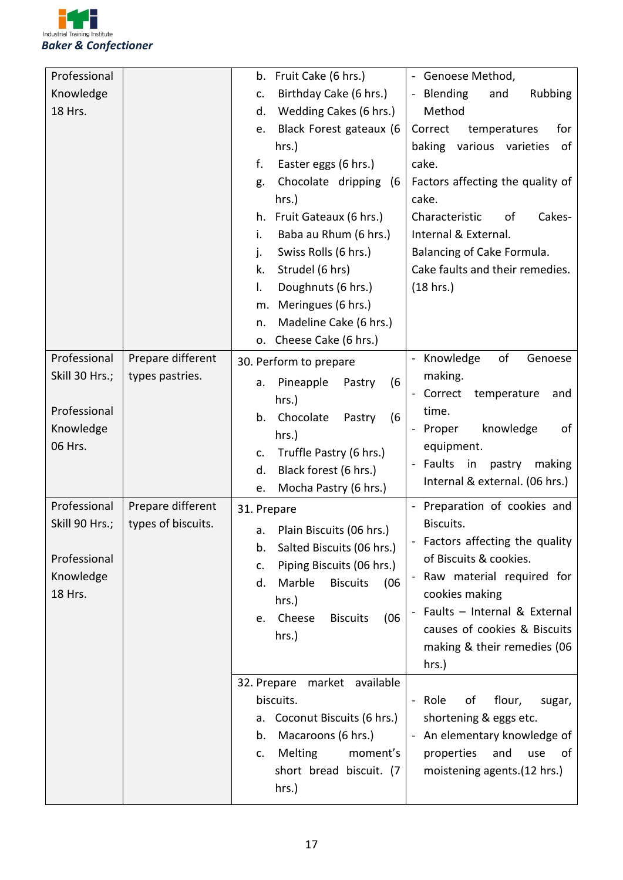

| Professional   |                    | Fruit Cake (6 hrs.)<br>Genoese Method,<br>b.                            |
|----------------|--------------------|-------------------------------------------------------------------------|
| Knowledge      |                    | Birthday Cake (6 hrs.)<br>- Blending<br>Rubbing<br>and<br>c.            |
| 18 Hrs.        |                    | Wedding Cakes (6 hrs.)<br>Method<br>d.                                  |
|                |                    | Black Forest gateaux (6<br>Correct<br>temperatures<br>for<br>е.         |
|                |                    | hrs.)<br>baking<br>various varieties<br>of                              |
|                |                    | cake.<br>f.<br>Easter eggs (6 hrs.)                                     |
|                |                    | Factors affecting the quality of<br>Chocolate dripping (6<br>g.         |
|                |                    | cake.<br>hrs.)                                                          |
|                |                    | Cakes-<br>Fruit Gateaux (6 hrs.)<br>Characteristic<br>of<br>h.          |
|                |                    | Baba au Rhum (6 hrs.)<br>Internal & External.<br>i.                     |
|                |                    | Swiss Rolls (6 hrs.)<br>Balancing of Cake Formula.<br>j.                |
|                |                    | Strudel (6 hrs)<br>Cake faults and their remedies.<br>k.                |
|                |                    | Doughnuts (6 hrs.)<br>(18 hrs.)<br>I.                                   |
|                |                    | Meringues (6 hrs.)<br>m.                                                |
|                |                    | Madeline Cake (6 hrs.)<br>n.                                            |
|                |                    | Cheese Cake (6 hrs.)<br>о.                                              |
| Professional   | Prepare different  | of<br>Knowledge<br>Genoese<br>30. Perform to prepare                    |
| Skill 30 Hrs.; | types pastries.    | making.<br>Pineapple<br>(6)<br>Pastry<br>a.                             |
|                |                    | Correct<br>temperature<br>and<br>hrs.)                                  |
| Professional   |                    | time.<br>Chocolate<br>(6)<br>b.<br>Pastry                               |
| Knowledge      |                    | knowledge<br>Proper<br>οf<br>hrs.)                                      |
| 06 Hrs.        |                    | equipment.<br>Truffle Pastry (6 hrs.)<br>c.                             |
|                |                    | Faults<br>in<br>pastry<br>making<br>Black forest (6 hrs.)<br>d.         |
|                |                    | Internal & external. (06 hrs.)<br>Mocha Pastry (6 hrs.)<br>e.           |
| Professional   | Prepare different  | Preparation of cookies and<br>31. Prepare                               |
| Skill 90 Hrs.; | types of biscuits. | Biscuits.                                                               |
|                |                    | Plain Biscuits (06 hrs.)<br>а.<br>Factors affecting the quality         |
| Professional   |                    | Salted Biscuits (06 hrs.)<br>b.<br>of Biscuits & cookies.               |
| Knowledge      |                    | Piping Biscuits (06 hrs.)<br>c.<br>Raw material required for            |
| 18 Hrs.        |                    | Marble<br><b>Biscuits</b><br>d.<br>(06)<br>cookies making               |
|                |                    | hrs.)<br>Faults - Internal & External                                   |
|                |                    | (06)<br>Cheese<br><b>Biscuits</b><br>e.<br>causes of cookies & Biscuits |
|                |                    | hrs.)<br>making & their remedies (06                                    |
|                |                    | hrs.)                                                                   |
|                |                    | 32. Prepare market available                                            |
|                |                    | biscuits.<br>- Role<br>of<br>flour,<br>sugar,                           |
|                |                    | Coconut Biscuits (6 hrs.)<br>shortening & eggs etc.<br>а.               |
|                |                    | Macaroons (6 hrs.)<br>- An elementary knowledge of<br>b.                |
|                |                    | <b>Melting</b><br>moment's<br>properties<br>and<br>use<br>of<br>c.      |
|                |                    | short bread biscuit. (7<br>moistening agents.(12 hrs.)                  |
|                |                    | hrs.)                                                                   |
|                |                    |                                                                         |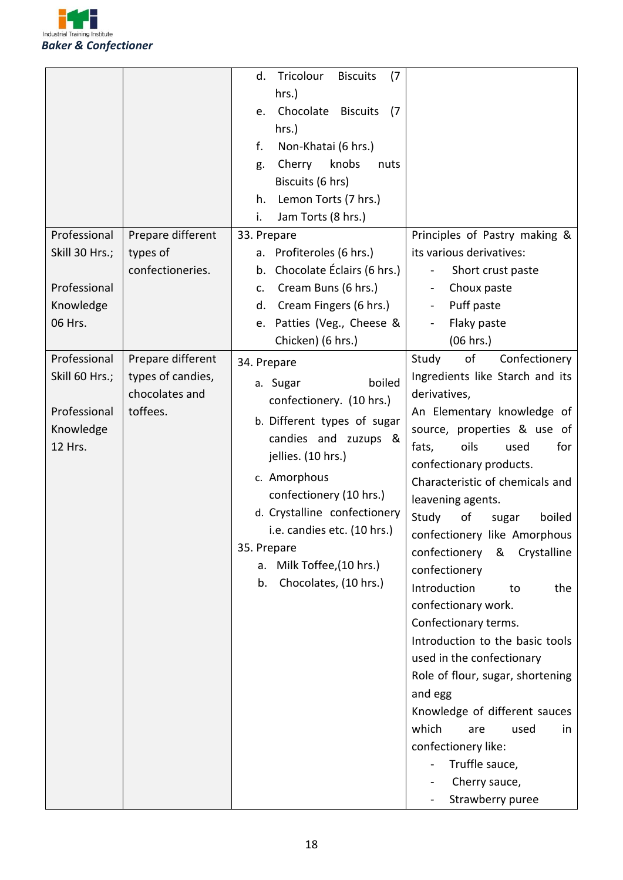

|                                                                        |                                                                      | Tricolour<br><b>Biscuits</b><br>(7)<br>d.<br>hrs.)<br>Chocolate<br><b>Biscuits</b><br>(7)<br>e.<br>hrs.)<br>Non-Khatai (6 hrs.)<br>f.<br>knobs<br>Cherry<br>nuts<br>g.<br>Biscuits (6 hrs)<br>Lemon Torts (7 hrs.)<br>h.<br>i.<br>Jam Torts (8 hrs.)                                                                               |                                                                                                                                                                                                                                                                                                                                                                                                                                                                                                                                                                                                                                                                                                                                                   |
|------------------------------------------------------------------------|----------------------------------------------------------------------|------------------------------------------------------------------------------------------------------------------------------------------------------------------------------------------------------------------------------------------------------------------------------------------------------------------------------------|---------------------------------------------------------------------------------------------------------------------------------------------------------------------------------------------------------------------------------------------------------------------------------------------------------------------------------------------------------------------------------------------------------------------------------------------------------------------------------------------------------------------------------------------------------------------------------------------------------------------------------------------------------------------------------------------------------------------------------------------------|
| Professional<br>Skill 30 Hrs.;<br>Professional<br>Knowledge<br>06 Hrs. | Prepare different<br>types of<br>confectioneries.                    | 33. Prepare<br>Profiteroles (6 hrs.)<br>а.<br>Chocolate Éclairs (6 hrs.)<br>b.<br>Cream Buns (6 hrs.)<br>c.<br>Cream Fingers (6 hrs.)<br>d.<br>Patties (Veg., Cheese &<br>e.<br>Chicken) (6 hrs.)                                                                                                                                  | Principles of Pastry making &<br>its various derivatives:<br>Short crust paste<br>$\qquad \qquad \blacksquare$<br>Choux paste<br>$\blacksquare$<br>Puff paste<br>$\blacksquare$<br>Flaky paste<br>(06 hrs.)                                                                                                                                                                                                                                                                                                                                                                                                                                                                                                                                       |
| Professional<br>Skill 60 Hrs.;<br>Professional<br>Knowledge<br>12 Hrs. | Prepare different<br>types of candies,<br>chocolates and<br>toffees. | 34. Prepare<br>boiled<br>a. Sugar<br>confectionery. (10 hrs.)<br>b. Different types of sugar<br>candies and zuzups &<br>jellies. (10 hrs.)<br>c. Amorphous<br>confectionery (10 hrs.)<br>d. Crystalline confectionery<br>i.e. candies etc. (10 hrs.)<br>35. Prepare<br>Milk Toffee, (10 hrs.)<br>a.<br>Chocolates, (10 hrs.)<br>b. | Study<br>of<br>Confectionery<br>Ingredients like Starch and its<br>derivatives,<br>An Elementary knowledge of<br>source, properties & use of<br>oils<br>for<br>fats,<br>used<br>confectionary products.<br>Characteristic of chemicals and<br>leavening agents.<br>Study<br>boiled<br>of<br>sugar<br>confectionery like Amorphous<br>confectionery<br>&<br>Crystalline<br>confectionery<br>Introduction<br>the<br>to<br>confectionary work.<br>Confectionary terms.<br>Introduction to the basic tools<br>used in the confectionary<br>Role of flour, sugar, shortening<br>and egg<br>Knowledge of different sauces<br>which<br>used<br>are<br>in<br>confectionery like:<br>Truffle sauce,<br>Cherry sauce,<br>Strawberry puree<br>$\blacksquare$ |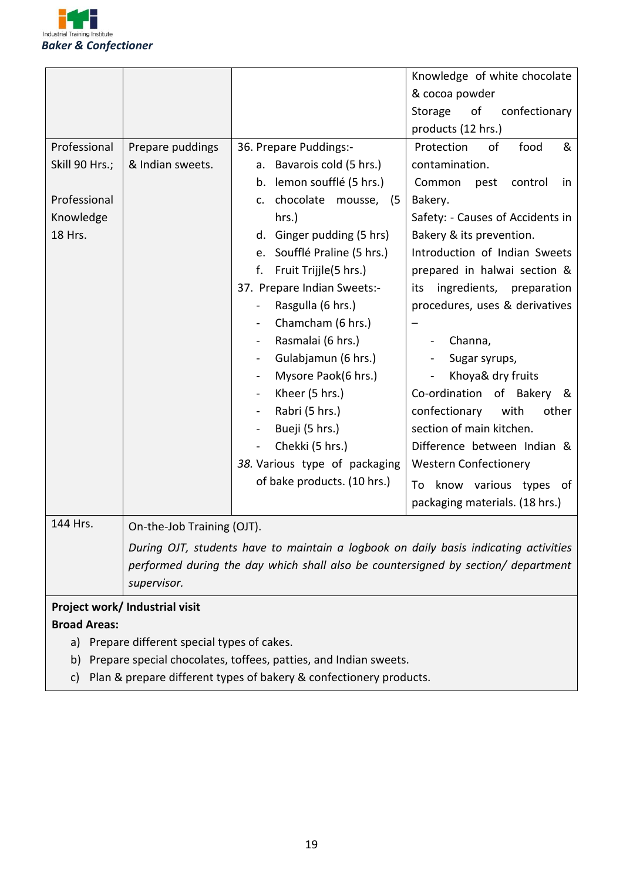

|                                              |                                |                                                                                                                                                                           | Knowledge of white chocolate     |
|----------------------------------------------|--------------------------------|---------------------------------------------------------------------------------------------------------------------------------------------------------------------------|----------------------------------|
|                                              |                                |                                                                                                                                                                           | & cocoa powder                   |
|                                              |                                |                                                                                                                                                                           | of<br>confectionary<br>Storage   |
|                                              |                                |                                                                                                                                                                           | products (12 hrs.)               |
| Professional                                 | Prepare puddings               | 36. Prepare Puddings:-                                                                                                                                                    | of<br>food<br>&<br>Protection    |
| Skill 90 Hrs.;                               | & Indian sweets.               | a. Bavarois cold (5 hrs.)                                                                                                                                                 | contamination.                   |
|                                              |                                | b. lemon soufflé (5 hrs.)                                                                                                                                                 | Common<br>control<br>pest<br>in  |
| Professional                                 |                                | chocolate mousse, (5<br>c.                                                                                                                                                | Bakery.                          |
| Knowledge                                    |                                | hrs.)                                                                                                                                                                     | Safety: - Causes of Accidents in |
| 18 Hrs.                                      |                                | Ginger pudding (5 hrs)<br>d.                                                                                                                                              | Bakery & its prevention.         |
|                                              |                                | Soufflé Praline (5 hrs.)<br>e.                                                                                                                                            | Introduction of Indian Sweets    |
|                                              |                                | f.<br>Fruit Trijjle(5 hrs.)                                                                                                                                               | prepared in halwai section &     |
|                                              |                                | 37. Prepare Indian Sweets:-                                                                                                                                               | ingredients, preparation<br>its  |
|                                              |                                | Rasgulla (6 hrs.)                                                                                                                                                         | procedures, uses & derivatives   |
|                                              |                                | Chamcham (6 hrs.)                                                                                                                                                         |                                  |
|                                              |                                | Rasmalai (6 hrs.)                                                                                                                                                         | Channa,                          |
|                                              |                                | Gulabjamun (6 hrs.)                                                                                                                                                       | Sugar syrups,                    |
|                                              |                                | Mysore Paok(6 hrs.)<br>$\overline{\phantom{a}}$                                                                                                                           | Khoya& dry fruits                |
|                                              |                                | Kheer (5 hrs.)<br>$\blacksquare$                                                                                                                                          | Co-ordination of Bakery<br>&     |
|                                              |                                | Rabri (5 hrs.)                                                                                                                                                            | confectionary<br>with<br>other   |
|                                              |                                | Bueji (5 hrs.)                                                                                                                                                            | section of main kitchen.         |
|                                              |                                | Chekki (5 hrs.)                                                                                                                                                           | Difference between Indian &      |
|                                              |                                | 38. Various type of packaging                                                                                                                                             | <b>Western Confectionery</b>     |
|                                              |                                | of bake products. (10 hrs.)                                                                                                                                               | know various types of<br>To      |
|                                              |                                |                                                                                                                                                                           | packaging materials. (18 hrs.)   |
| 144 Hrs.                                     | On-the-Job Training (OJT).     |                                                                                                                                                                           |                                  |
|                                              |                                |                                                                                                                                                                           |                                  |
|                                              |                                | During OJT, students have to maintain a logbook on daily basis indicating activities<br>performed during the day which shall also be countersigned by section/ department |                                  |
|                                              |                                |                                                                                                                                                                           |                                  |
|                                              | supervisor.                    |                                                                                                                                                                           |                                  |
|                                              | Project work/ Industrial visit |                                                                                                                                                                           |                                  |
| <b>Broad Areas:</b>                          |                                |                                                                                                                                                                           |                                  |
| a) Prepare different special types of cakes. |                                |                                                                                                                                                                           |                                  |

- b) Prepare special chocolates, toffees, patties, and Indian sweets.
- c) Plan & prepare different types of bakery & confectionery products.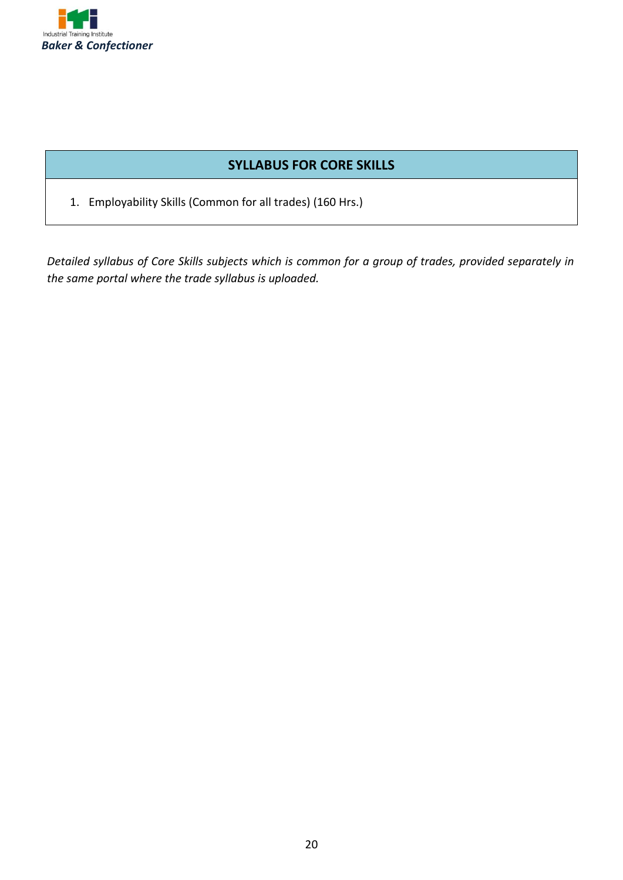

#### **SYLLABUS FOR CORE SKILLS**

1. Employability Skills (Common for all trades) (160 Hrs.)

*Detailed syllabus of Core Skills subjects which is common for a group of trades, provided separately in the same portal where the trade syllabus is uploaded.*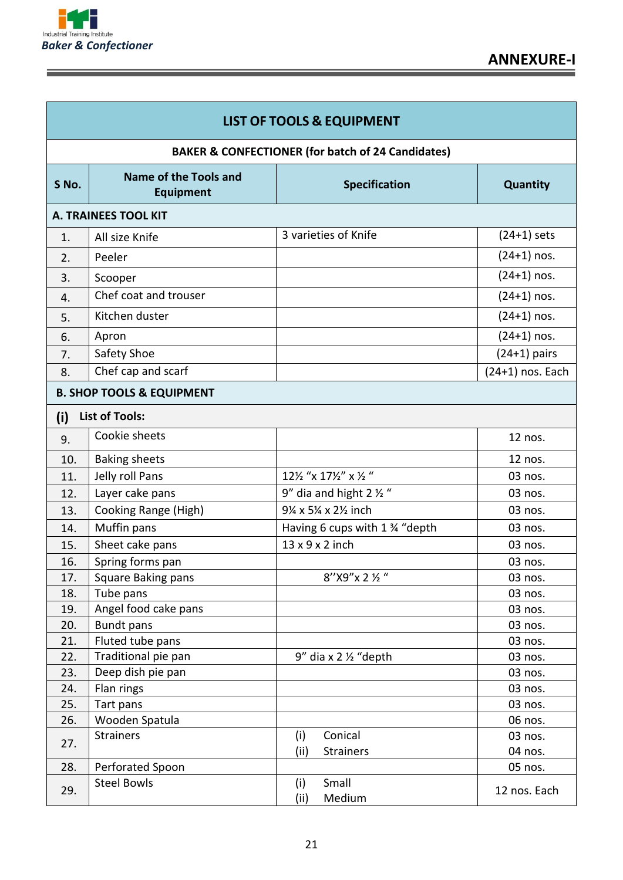

| <b>LIST OF TOOLS &amp; EQUIPMENT</b> |                                                              |                                    |                    |
|--------------------------------------|--------------------------------------------------------------|------------------------------------|--------------------|
|                                      | <b>BAKER &amp; CONFECTIONER (for batch of 24 Candidates)</b> |                                    |                    |
| S No.                                | Name of the Tools and<br><b>Equipment</b>                    | <b>Specification</b>               | <b>Quantity</b>    |
|                                      | A. TRAINEES TOOL KIT                                         |                                    |                    |
| 1.                                   | All size Knife                                               | 3 varieties of Knife               | $(24+1)$ sets      |
| 2.                                   | Peeler                                                       |                                    | $(24+1)$ nos.      |
| 3.                                   | Scooper                                                      |                                    | $(24+1)$ nos.      |
| 4.                                   | Chef coat and trouser                                        |                                    | $(24+1)$ nos.      |
| 5.                                   | Kitchen duster                                               |                                    | $(24+1)$ nos.      |
| 6.                                   | Apron                                                        |                                    | $(24+1)$ nos.      |
| 7.                                   | Safety Shoe                                                  |                                    | $(24+1)$ pairs     |
| 8.                                   | Chef cap and scarf                                           |                                    | $(24+1)$ nos. Each |
|                                      | <b>B. SHOP TOOLS &amp; EQUIPMENT</b>                         |                                    |                    |
|                                      |                                                              |                                    |                    |
| (i)                                  | <b>List of Tools:</b>                                        |                                    |                    |
| 9.                                   | Cookie sheets                                                |                                    | 12 nos.            |
| 10.                                  | <b>Baking sheets</b>                                         |                                    | 12 nos.            |
| 11.                                  | Jelly roll Pans                                              | 121/2 "x 171/2" x 1/2 "            | 03 nos.            |
| 12.                                  | Layer cake pans                                              | 9" dia and hight 2 $\frac{1}{2}$ " | 03 nos.            |
| 13.                                  | Cooking Range (High)                                         | 9¼ x 5¼ x 2½ inch                  | 03 nos.            |
| 14.                                  | Muffin pans                                                  | Having 6 cups with 1 % "depth      | 03 nos.            |
| 15.                                  | Sheet cake pans                                              | 13 x 9 x 2 inch                    | 03 nos.            |
| 16.                                  | Spring forms pan                                             |                                    | 03 nos.            |
| 17.                                  | Square Baking pans                                           | 8"X9"x 2 1/2"                      | 03 nos.            |
| 18.                                  | Tube pans                                                    |                                    | 03 nos.            |
| 19.                                  | Angel food cake pans                                         |                                    | 03 nos.            |
| 20.                                  | <b>Bundt pans</b>                                            |                                    | 03 nos.            |
| 21.                                  | Fluted tube pans                                             |                                    | 03 nos.            |
| 22.                                  | Traditional pie pan                                          | $9''$ dia x 2 $\frac{1}{2}$ "depth | 03 nos.            |
| 23.                                  | Deep dish pie pan                                            |                                    | 03 nos.            |
| 24.                                  | Flan rings                                                   |                                    | 03 nos.            |
| 25.                                  | Tart pans                                                    |                                    | 03 nos.            |
| 26.                                  | Wooden Spatula                                               |                                    | 06 nos.            |
| 27.                                  | <b>Strainers</b>                                             | Conical<br>(i)                     | 03 nos.            |
|                                      |                                                              | (iii)<br><b>Strainers</b>          | 04 nos.            |
| 28.                                  | Perforated Spoon                                             |                                    | 05 nos.            |
| 29.                                  | <b>Steel Bowls</b>                                           | Small<br>(i)<br>(iii)<br>Medium    | 12 nos. Each       |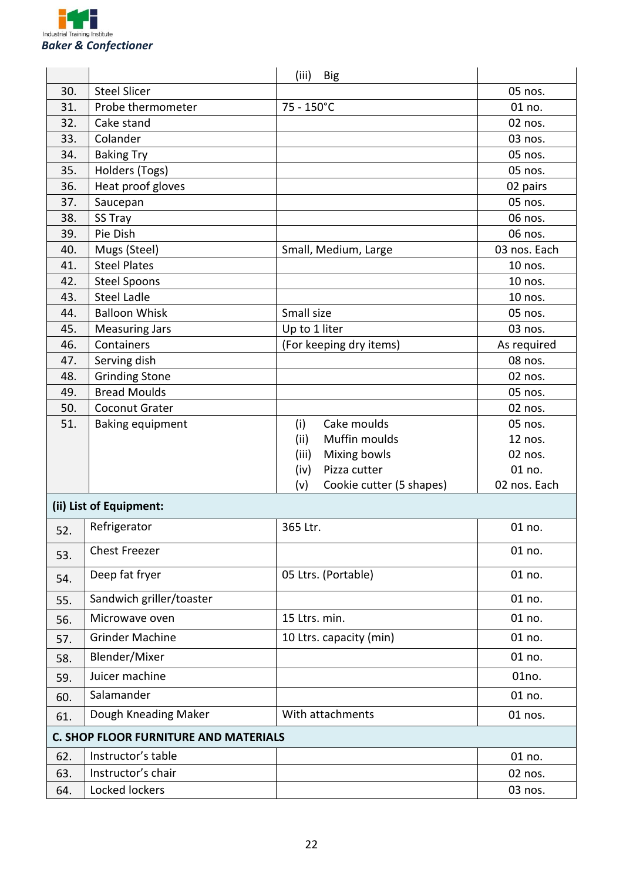

|     |                                              | (iii)<br><b>Big</b>             |              |
|-----|----------------------------------------------|---------------------------------|--------------|
| 30. | <b>Steel Slicer</b>                          |                                 | 05 nos.      |
| 31. | Probe thermometer                            | 75 - 150°C                      | 01 no.       |
| 32. | Cake stand                                   |                                 | 02 nos.      |
| 33. | Colander                                     |                                 | 03 nos.      |
| 34. | <b>Baking Try</b>                            |                                 | 05 nos.      |
| 35. | Holders (Togs)                               |                                 | 05 nos.      |
| 36. | Heat proof gloves                            |                                 | 02 pairs     |
| 37. | Saucepan                                     |                                 | 05 nos.      |
| 38. | SS Tray                                      |                                 | 06 nos.      |
| 39. | Pie Dish                                     |                                 | 06 nos.      |
| 40. | Mugs (Steel)                                 | Small, Medium, Large            | 03 nos. Each |
| 41. | <b>Steel Plates</b>                          |                                 | 10 nos.      |
| 42. | <b>Steel Spoons</b>                          |                                 | 10 nos.      |
| 43. | <b>Steel Ladle</b>                           |                                 | 10 nos.      |
| 44. | <b>Balloon Whisk</b>                         | Small size                      | 05 nos.      |
| 45. | <b>Measuring Jars</b>                        | Up to 1 liter                   | 03 nos.      |
| 46. | Containers                                   | (For keeping dry items)         | As required  |
| 47. | Serving dish                                 |                                 | 08 nos.      |
| 48. | <b>Grinding Stone</b>                        |                                 | 02 nos.      |
| 49. | <b>Bread Moulds</b>                          |                                 | 05 nos.      |
| 50. | Coconut Grater                               |                                 | 02 nos.      |
| 51. | <b>Baking equipment</b>                      | Cake moulds<br>(i)              | 05 nos.      |
|     |                                              | Muffin moulds<br>(ii)           | 12 nos.      |
|     |                                              | Mixing bowls<br>(iii)           | 02 nos.      |
|     |                                              | Pizza cutter<br>(iv)            | 01 no.       |
|     |                                              | Cookie cutter (5 shapes)<br>(v) | 02 nos. Each |
|     | (ii) List of Equipment:                      |                                 |              |
| 52  | Refrigerator                                 | 365 Ltr.                        | 01 no.       |
| 53. | <b>Chest Freezer</b>                         |                                 | 01 no.       |
| 54. | Deep fat fryer                               | 05 Ltrs. (Portable)             | 01 no.       |
| 55. | Sandwich griller/toaster                     |                                 | 01 no.       |
| 56. | Microwave oven                               | 15 Ltrs. min.                   | 01 no.       |
| 57. | <b>Grinder Machine</b>                       | 10 Ltrs. capacity (min)         | 01 no.       |
| 58. | Blender/Mixer                                |                                 | 01 no.       |
| 59. | Juicer machine                               |                                 | 01no.        |
| 60. | Salamander                                   |                                 | 01 no.       |
| 61. | Dough Kneading Maker                         | With attachments                | 01 nos.      |
|     | <b>C. SHOP FLOOR FURNITURE AND MATERIALS</b> |                                 |              |
| 62. | Instructor's table                           |                                 | 01 no.       |
| 63. | Instructor's chair                           |                                 | 02 nos.      |
| 64. | Locked lockers                               |                                 | 03 nos.      |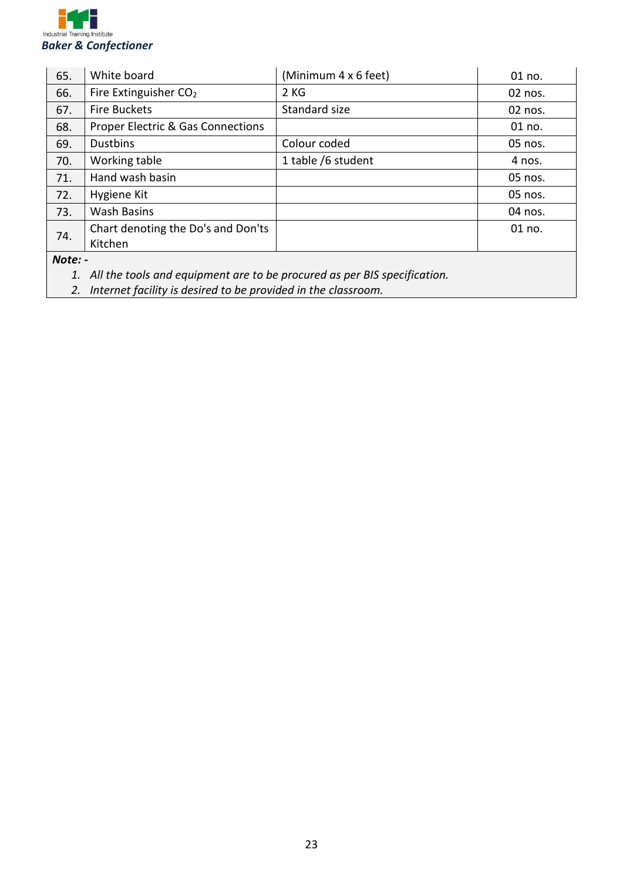

| 65.     | White board                                  | (Minimum 4 x 6 feet) | 01 no.  |
|---------|----------------------------------------------|----------------------|---------|
| 66.     | Fire Extinguisher CO <sub>2</sub>            | 2KG                  | 02 nos. |
| 67.     | <b>Fire Buckets</b>                          | Standard size        | 02 nos. |
| 68.     | <b>Proper Electric &amp; Gas Connections</b> |                      | 01 no.  |
| 69.     | <b>Dustbins</b>                              | Colour coded         | 05 nos. |
| 70.     | Working table                                | 1 table /6 student   | 4 nos.  |
| 71.     | Hand wash basin                              |                      | 05 nos. |
| 72.     | Hygiene Kit                                  |                      | 05 nos. |
| 73.     | <b>Wash Basins</b>                           |                      | 04 nos. |
| 74.     | Chart denoting the Do's and Don'ts           |                      | 01 no.  |
|         | Kitchen                                      |                      |         |
| Note: - |                                              |                      |         |

*1. All the tools and equipment are to be procured as per BIS specification.* 

*2. Internet facility is desired to be provided in the classroom.*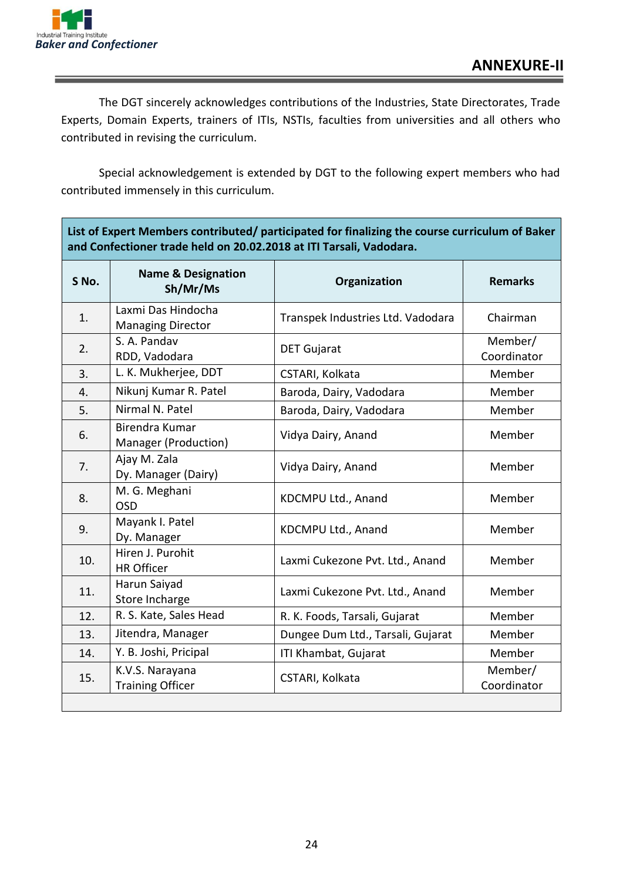

The DGT sincerely acknowledges contributions of the Industries, State Directorates, Trade Experts, Domain Experts, trainers of ITIs, NSTIs, faculties from universities and all others who contributed in revising the curriculum.

Special acknowledgement is extended by DGT to the following expert members who had contributed immensely in this curriculum.

**List of Expert Members contributed/ participated for finalizing the course curriculum of Baker** 

| and Confectioner trade held on 20.02.2018 at ITI Tarsali, Vadodara. |                                                |                                   |                        |
|---------------------------------------------------------------------|------------------------------------------------|-----------------------------------|------------------------|
| S No.                                                               | <b>Name &amp; Designation</b><br>Sh/Mr/Ms      | Organization                      | <b>Remarks</b>         |
| 1.                                                                  | Laxmi Das Hindocha<br><b>Managing Director</b> | Transpek Industries Ltd. Vadodara | Chairman               |
| 2.                                                                  | S. A. Pandav<br>RDD, Vadodara                  | <b>DET Gujarat</b>                | Member/<br>Coordinator |
| 3.                                                                  | L. K. Mukherjee, DDT                           | CSTARI, Kolkata                   | Member                 |
| 4.                                                                  | Nikunj Kumar R. Patel                          | Baroda, Dairy, Vadodara           | Member                 |
| 5.                                                                  | Nirmal N. Patel                                | Baroda, Dairy, Vadodara           | Member                 |
| 6.                                                                  | Birendra Kumar<br>Manager (Production)         | Vidya Dairy, Anand                | Member                 |
| 7.                                                                  | Ajay M. Zala<br>Dy. Manager (Dairy)            | Vidya Dairy, Anand                | Member                 |
| 8.                                                                  | M. G. Meghani<br><b>OSD</b>                    | KDCMPU Ltd., Anand                | Member                 |
| 9.                                                                  | Mayank I. Patel<br>Dy. Manager                 | KDCMPU Ltd., Anand                | Member                 |
| 10.                                                                 | Hiren J. Purohit<br><b>HR Officer</b>          | Laxmi Cukezone Pvt. Ltd., Anand   | Member                 |
| 11.                                                                 | Harun Saiyad<br>Store Incharge                 | Laxmi Cukezone Pvt. Ltd., Anand   | Member                 |
| 12.                                                                 | R. S. Kate, Sales Head                         | R. K. Foods, Tarsali, Gujarat     | Member                 |
| 13.                                                                 | Jitendra, Manager                              | Dungee Dum Ltd., Tarsali, Gujarat | Member                 |
| 14.                                                                 | Y. B. Joshi, Pricipal                          | ITI Khambat, Gujarat              | Member                 |
| 15.                                                                 | K.V.S. Narayana<br><b>Training Officer</b>     | CSTARI, Kolkata                   | Member/<br>Coordinator |
|                                                                     |                                                |                                   |                        |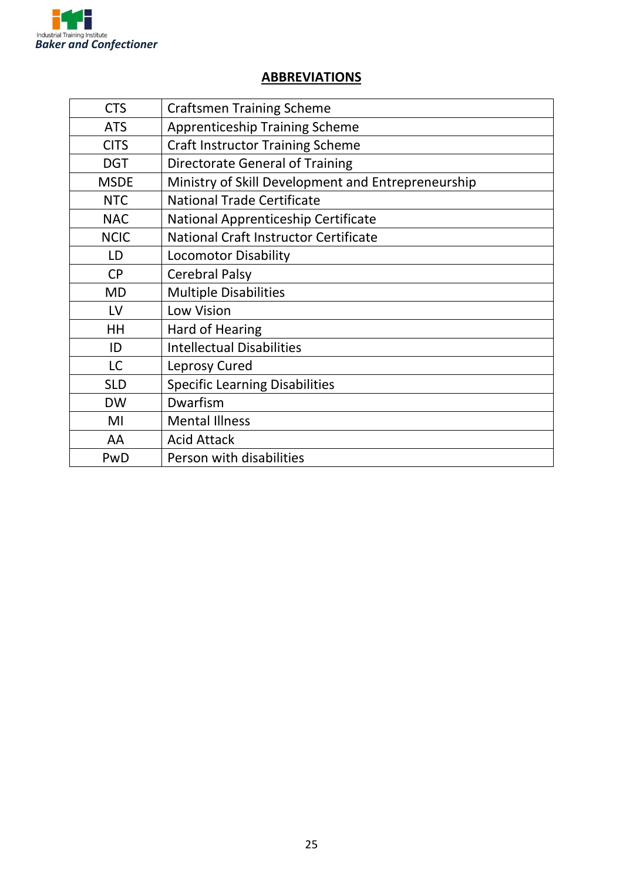

### **ABBREVIATIONS**

| <b>CTS</b>  | <b>Craftsmen Training Scheme</b>                   |
|-------------|----------------------------------------------------|
| <b>ATS</b>  | <b>Apprenticeship Training Scheme</b>              |
| <b>CITS</b> | <b>Craft Instructor Training Scheme</b>            |
| <b>DGT</b>  | <b>Directorate General of Training</b>             |
| <b>MSDE</b> | Ministry of Skill Development and Entrepreneurship |
| <b>NTC</b>  | <b>National Trade Certificate</b>                  |
| <b>NAC</b>  | National Apprenticeship Certificate                |
| <b>NCIC</b> | <b>National Craft Instructor Certificate</b>       |
| LD          | <b>Locomotor Disability</b>                        |
| <b>CP</b>   | <b>Cerebral Palsy</b>                              |
| <b>MD</b>   | <b>Multiple Disabilities</b>                       |
| LV          | Low Vision                                         |
| HH          | <b>Hard of Hearing</b>                             |
| ID          | <b>Intellectual Disabilities</b>                   |
| <b>LC</b>   | Leprosy Cured                                      |
| <b>SLD</b>  | <b>Specific Learning Disabilities</b>              |
| <b>DW</b>   | Dwarfism                                           |
| MI          | <b>Mental Illness</b>                              |
| AA          | <b>Acid Attack</b>                                 |
| PwD         | Person with disabilities                           |